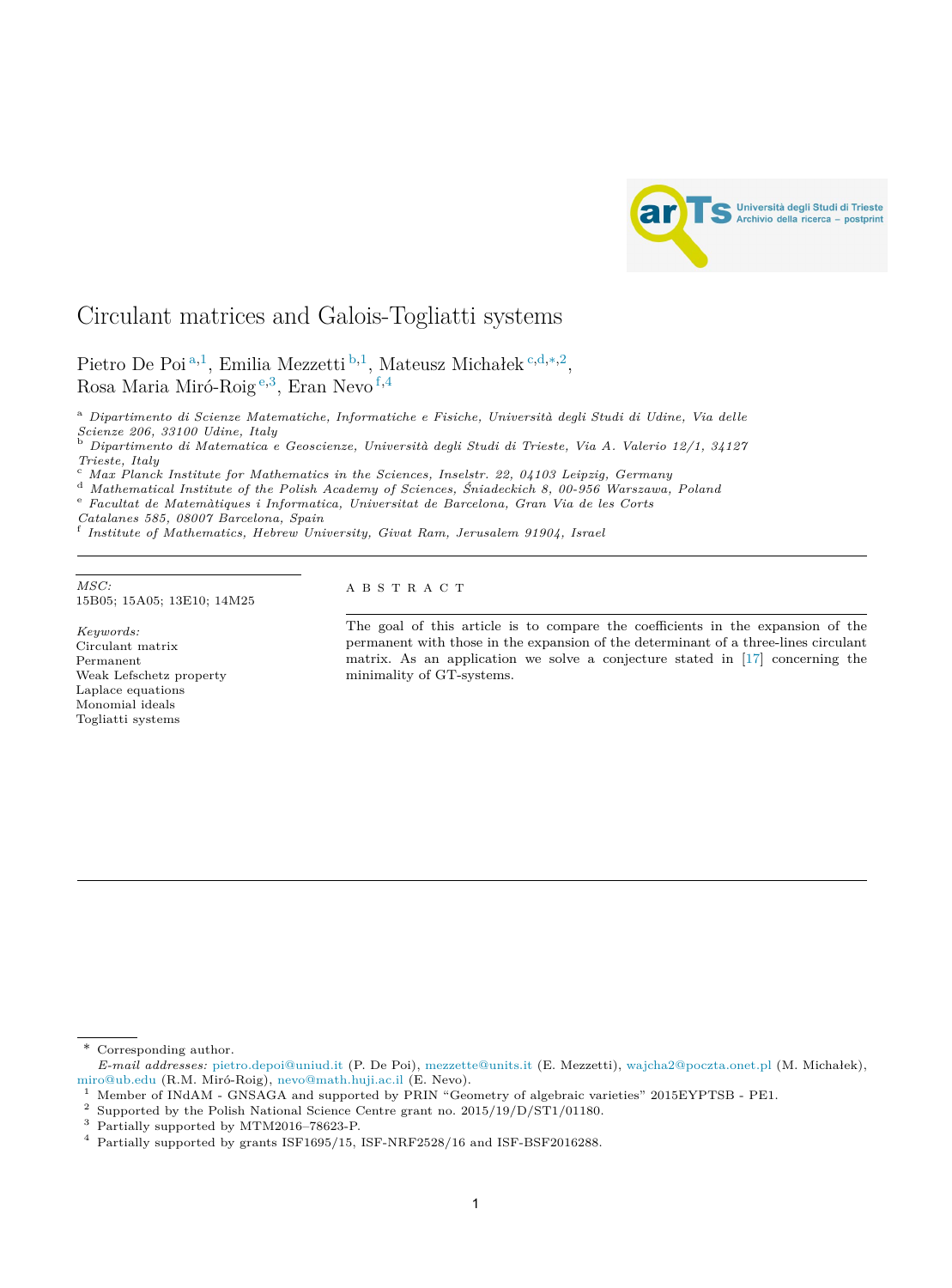

# Circulant matrices and Galois-Togliatti systems

Pietro De Poi <sup>a</sup>*,*1, Emilia Mezzetti <sup>b</sup>*,*1, Mateusz Michałek <sup>c</sup>*,*d*,*∗*,*2, Rosa Maria Miró-Roig <sup>e</sup>*,*3, Eran Nevo <sup>f</sup>*,*<sup>4</sup>

<sup>a</sup> *Dipartimento di Scienze Matematiche, Informatiche e Fisiche, Università degli Studi di Udine, Via delle* Scienze 206, 33100 Udine, Italy<br><sup>b</sup> Dipartimento di Matematica e Geoscienze, Università degli Studi di Trieste, Via A. Valerio 12/1, 34127

Trieste, Italy<br>
C Max Planck Institute for Mathematics in the Sciences, Inselstr. 22, 04103 Leipzig, Germany<br>
<sup>d</sup> Mathematical Institute of the Polish Academy of Sciences, Śniadeckich 8, 00-956 Warszawa, Poland<br>
<sup>e</sup> Facult

*Catalanes 585, <sup>08007</sup> Barcelona, Spain* <sup>f</sup> *Institute of Mathematics, Hebrew University, Givat Ram, Jerusalem 91904, Israel*

 $MSC:$  A B S T R A C T 15B05; 15A05; 13E10; 14M25

*Keywords:* Circulant matrix Permanent Weak Lefschetz property Laplace equations Monomial ideals Togliatti systems

The goal of this article is to compare the coefficients in the expansion of the permanent with those in the expansion of the determinant of a three-lines circulant matrix. As an application we solve a conjecture stated in [[17](#page-13-0)] concerning the minimality of GT-systems.

<sup>\*</sup> Corresponding author.

*E-mail addresses:* [pietro.depoi@uniud.it](mailto:pietro.depoi@uniud.it) (P. De Poi), [mezzette@units.it](mailto:mezzette@units.it) (E. Mezzetti), [wajcha2@poczta.onet.pl](mailto:wajcha2@poczta.onet.pl) (M. Michałek), [miro@ub.edu](mailto:miro@ub.edu) (R.M. Miró-Roig), [nevo@math.huji.ac.il](mailto:nevo@math.huji.ac.il) (E. Nevo).

<sup>&</sup>lt;sup>1</sup> Member of INdAM - GNSAGA and supported by PRIN "Geometry of algebraic varieties" 2015EYPTSB - PE1.

<sup>2</sup> Supported by the Polish National Science Centre grant no. 2015/19/D/ST1/01180.

<sup>3</sup> Partially supported by MTM2016–78623-P.

<sup>4</sup> Partially supported by grants ISF1695/15, ISF-NRF2528/16 and ISF-BSF2016288.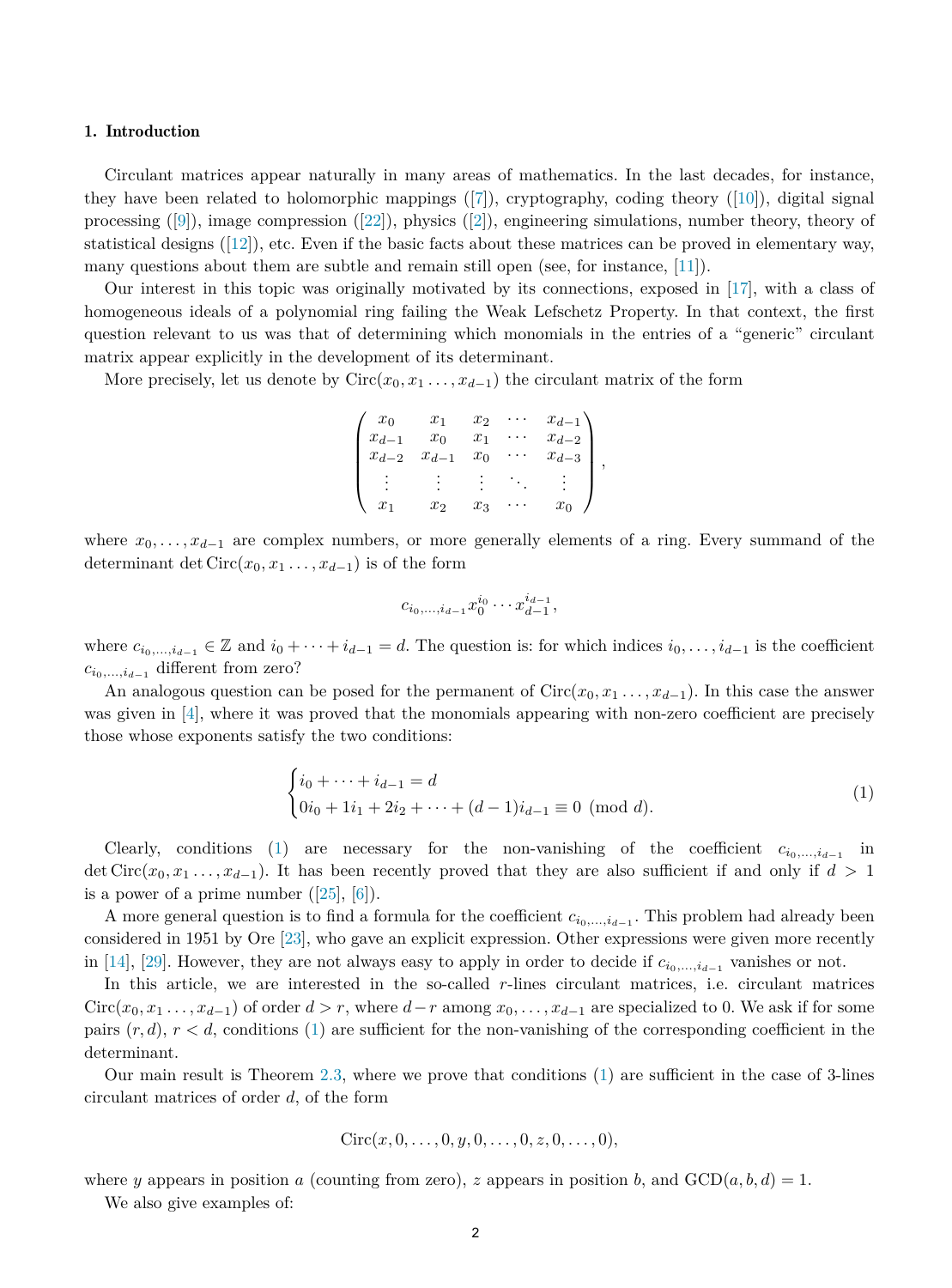#### 1. Introduction

Circulant matrices appear naturally in many areas of mathematics. In the last decades, for instance, they have been related to holomorphic mappings  $([7])$  $([7])$  $([7])$ , cryptography, coding theory  $([10])$  $([10])$  $([10])$ , digital signal processing  $([9])$  $([9])$  $([9])$ , image compression  $([22])$  $([22])$  $([22])$ , physics  $([2])$  $([2])$  $([2])$ , engineering simulations, number theory, theory of statistical designs ([[12\]](#page-13-0)), etc. Even if the basic facts about these matrices can be proved in elementary way, many questions about them are subtle and remain still open (see, for instance, [[11\]](#page-13-0)).

Our interest in this topic was originally motivated by its connections, exposed in [\[17\]](#page-13-0), with a class of homogeneous ideals of a polynomial ring failing the Weak Lefschetz Property. In that context, the first question relevant to us was that of determining which monomials in the entries of a "generic" circulant matrix appear explicitly in the development of its determinant.

More precisely, let us denote by  $Circ(x_0, x_1, \ldots, x_{d-1})$  the circulant matrix of the form

| $x_0$         | $x_1$     | $x_2$ | $x_{d-1}$ |  |
|---------------|-----------|-------|-----------|--|
| $x_{d-1}$     | $x_0$     | $x_1$ | $x_{d-2}$ |  |
| $x_d$<br>$-2$ | $x_{d-1}$ | $x_0$ | $x_{d-3}$ |  |
|               |           |       |           |  |
| $x_1$         | $x_2$     | $x_3$ | $x_0$     |  |

where  $x_0, \ldots, x_{d-1}$  are complex numbers, or more generally elements of a ring. Every summand of the determinant det Circ $(x_0, x_1, \ldots, x_{d-1})$  is of the form

$$
c_{i_0,\dots,i_{d-1}} x_0^{i_0} \cdots x_{d-1}^{i_{d-1}},
$$

where  $c_{i_0,\dots,i_{d-1}} \in \mathbb{Z}$  and  $i_0 + \dots + i_{d-1} = d$ . The question is: for which indices  $i_0, \dots, i_{d-1}$  is the coefficient *c<sup>i</sup>*0*,...,id*−<sup>1</sup> different from zero?

An analogous question can be posed for the permanent of  $Circ(x_0, x_1, \ldots, x_{d-1})$ . In this case the answer was given in [\[4](#page-13-0)], where it was proved that the monomials appearing with non-zero coefficient are precisely those whose exponents satisfy the two conditions:

$$
\begin{cases} i_0 + \dots + i_{d-1} = d \\ 0i_0 + 1i_1 + 2i_2 + \dots + (d-1)i_{d-1} \equiv 0 \pmod{d}. \end{cases}
$$
 (1)

Clearly, conditions (1) are necessary for the non-vanishing of the coefficient  $c_{i_0,\dots,i_{d-1}}$  in det Circ( $x_0, x_1, \ldots, x_{d-1}$ ). It has been recently proved that they are also sufficient if and only if  $d > 1$ is a power of a prime number  $([25], [6])$  $([25], [6])$  $([25], [6])$  $([25], [6])$  $([25], [6])$ .

A more general question is to find a formula for the coefficient  $c_{i_0,\dots,i_{d-1}}$ . This problem had already been considered in 1951 by Ore [\[23](#page-13-0)], who gave an explicit expression. Other expressions were given more recently in [\[14\]](#page-13-0), [\[29](#page-13-0)]. However, they are not always easy to apply in order to decide if  $c_{i_0,\dots,i_{d-1}}$  vanishes or not.

In this article, we are interested in the so-called *r*-lines circulant matrices, i.e. circulant matrices  $Circ(x_0, x_1, \ldots, x_{d-1})$  of order  $d > r$ , where  $d-r$  among  $x_0, \ldots, x_{d-1}$  are specialized to 0. We ask if for some pairs  $(r, d)$ ,  $r < d$ , conditions (1) are sufficient for the non-vanishing of the corresponding coefficient in the determinant.

Our main result is Theorem [2.3](#page-3-0), where we prove that conditions (1) are sufficient in the case of 3-lines circulant matrices of order *d*, of the form

$$
Circ(x, 0, \ldots, 0, y, 0, \ldots, 0, z, 0, \ldots, 0),
$$

where *y* appears in position *a* (counting from zero), *z* appears in position *b*, and  $GCD(a, b, d) = 1$ .

We also give examples of: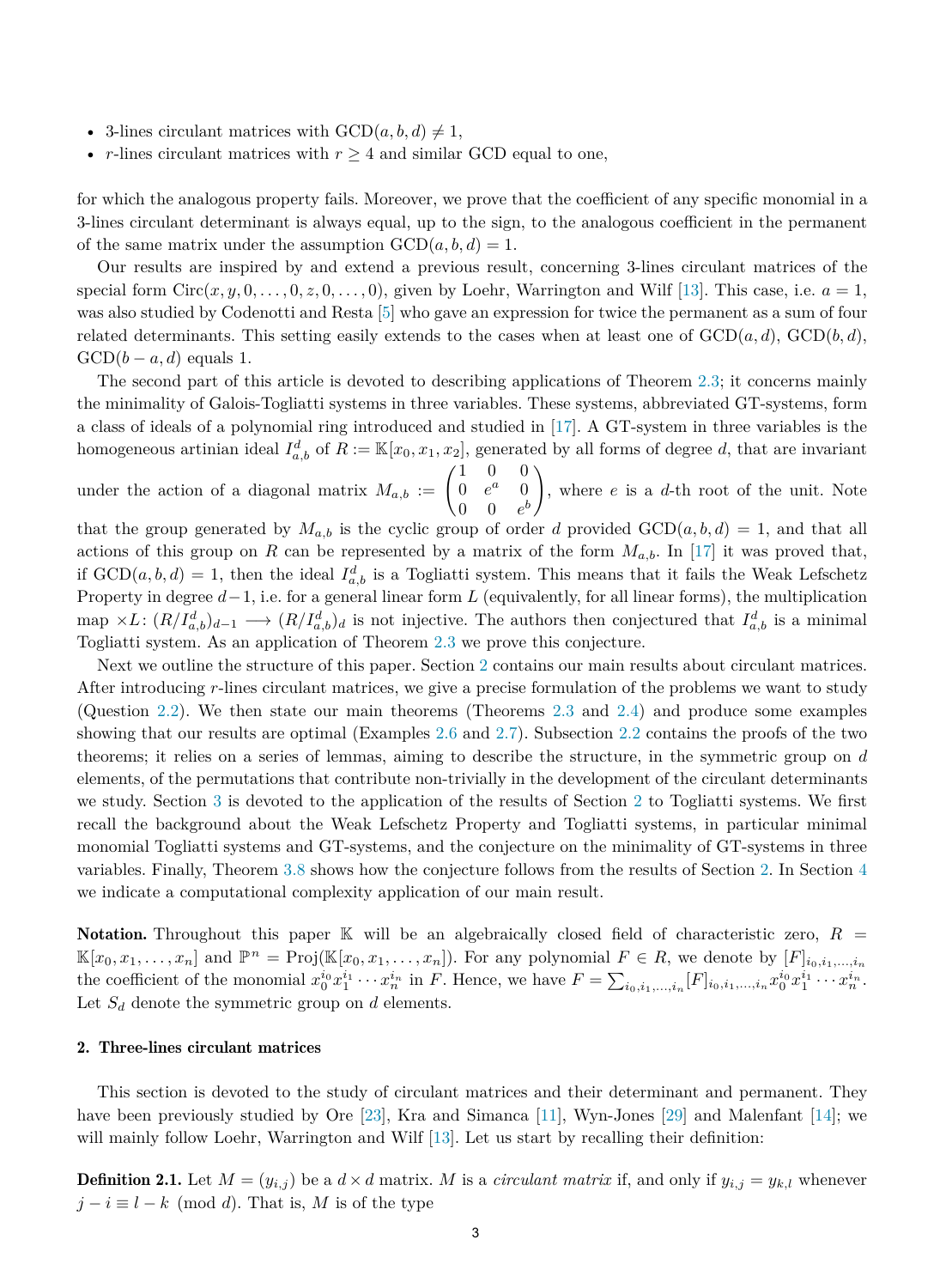- 3-lines circulant matrices with  $GCD(a, b, d) \neq 1$ ,
- *r*-lines circulant matrices with  $r \geq 4$  and similar GCD equal to one,

for which the analogous property fails. Moreover, we prove that the coefficient of any specific monomial in a 3-lines circulant determinant is always equal, up to the sign, to the analogous coefficient in the permanent of the same matrix under the assumption  $GCD(a, b, d) = 1$ .

Our results are inspired by and extend a previous result, concerning 3-lines circulant matrices of the special form  $Circ(x, y, 0, \ldots, 0, z, 0, \ldots, 0)$ , given by Loehr, Warrington and Wilf [\[13](#page-13-0)]. This case, i.e.  $a = 1$ , was also studied by Codenotti and Resta [[5\]](#page-13-0) who gave an expression for twice the permanent as a sum of four related determinants. This setting easily extends to the cases when at least one of  $GCD(a, d)$ ,  $GCD(b, d)$ ,  $GCD(b - a, d)$  equals 1.

The second part of this article is devoted to describing applications of Theorem [2.3](#page-3-0); it concerns mainly the minimality of Galois-Togliatti systems in three variables. These systems, abbreviated GT-systems, form a class of ideals of a polynomial ring introduced and studied in [\[17](#page-13-0)]. A GT-system in three variables is the homogeneous artinian ideal  $I_{a,b}^d$  of  $R := \mathbb{K}[x_0, x_1, x_2]$ , generated by all forms of degree *d*, that are invariant

under the action of a diagonal matrix  $M_{a,b} := \begin{pmatrix} 1 & 0 & 0 \\ 0 & e^a & 0 \end{pmatrix}$  $0 \t 0 \t e^b$  $\setminus$ , where *e* is a *d*-th root of the unit. Note

that the group generated by  $M_{a,b}$  is the cyclic group of order *d* provided  $GCD(a, b, d) = 1$ , and that all actions of this group on *R* can be represented by a matrix of the form  $M_{a,b}$ . In [\[17](#page-13-0)] it was proved that, if  $GCD(a, b, d) = 1$ , then the ideal  $I_{a,b}^d$  is a Togliatti system. This means that it fails the Weak Lefschetz Property in degree *d*−1, i.e. for a general linear form *L* (equivalently, for all linear forms), the multiplication map  $\times L$ :  $(R/I_{a,b}^d)_{d-1} \longrightarrow (R/I_{a,b}^d)_{d}$  is not injective. The authors then conjectured that  $I_{a,b}^d$  is a minimal Togliatti system. As an application of Theorem [2.3](#page-3-0) we prove this conjecture.

Next we outline the structure of this paper. Section 2 contains our main results about circulant matrices. After introducing *r*-lines circulant matrices, we give a precise formulation of the problems we want to study (Question [2.2](#page-3-0)). We then state our main theorems (Theorems [2.3](#page-3-0) and [2.4](#page-3-0)) and produce some examples showing that our results are optimal (Examples [2.6](#page-4-0) and [2.7\)](#page-4-0). Subsection [2.2](#page-5-0) contains the proofs of the two theorems; it relies on a series of lemmas, aiming to describe the structure, in the symmetric group on *d* elements, of the permutations that contribute non-trivially in the development of the circulant determinants we study. Section [3](#page-9-0) is devoted to the application of the results of Section 2 to Togliatti systems. We first recall the background about the Weak Lefschetz Property and Togliatti systems, in particular minimal monomial Togliatti systems and GT-systems, and the conjecture on the minimality of GT-systems in three variables. Finally, Theorem [3.8](#page-11-0) shows how the conjecture follows from the results of Section 2. In Section [4](#page-12-0) we indicate a computational complexity application of our main result.

Notation. Throughout this paper  $\mathbb K$  will be an algebraically closed field of characteristic zero,  $R =$  $\mathbb{K}[x_0, x_1, \ldots, x_n]$  and  $\mathbb{P}^n = \text{Proj}(\mathbb{K}[x_0, x_1, \ldots, x_n])$ . For any polynomial  $F \in R$ , we denote by  $[F]_{i_0, i_1, \ldots, i_n}$ the coefficient of the monomial  $x_0^{i_0}x_1^{i_1}\cdots x_n^{i_n}$  in F. Hence, we have  $F = \sum_{i_0, i_1, ..., i_n} [F]_{i_0, i_1, ..., i_n} x_0^{i_0}x_1^{i_1} \cdots x_n^{i_n}$ . Let  $S_d$  denote the symmetric group on  $d$  elements.

## 2. Three-lines circulant matrices

This section is devoted to the study of circulant matrices and their determinant and permanent. They have been previously studied by Ore [[23\]](#page-13-0), Kra and Simanca [\[11](#page-13-0)], Wyn-Jones [\[29](#page-13-0)] and Malenfant [\[14](#page-13-0)]; we will mainly follow Loehr, Warrington and Wilf [\[13](#page-13-0)]. Let us start by recalling their definition:

**Definition 2.1.** Let  $M = (y_{i,j})$  be a  $d \times d$  matrix. M is a *circulant matrix* if, and only if  $y_{i,j} = y_{k,l}$  whenever  $j - i \equiv l - k \pmod{d}$ . That is, *M* is of the type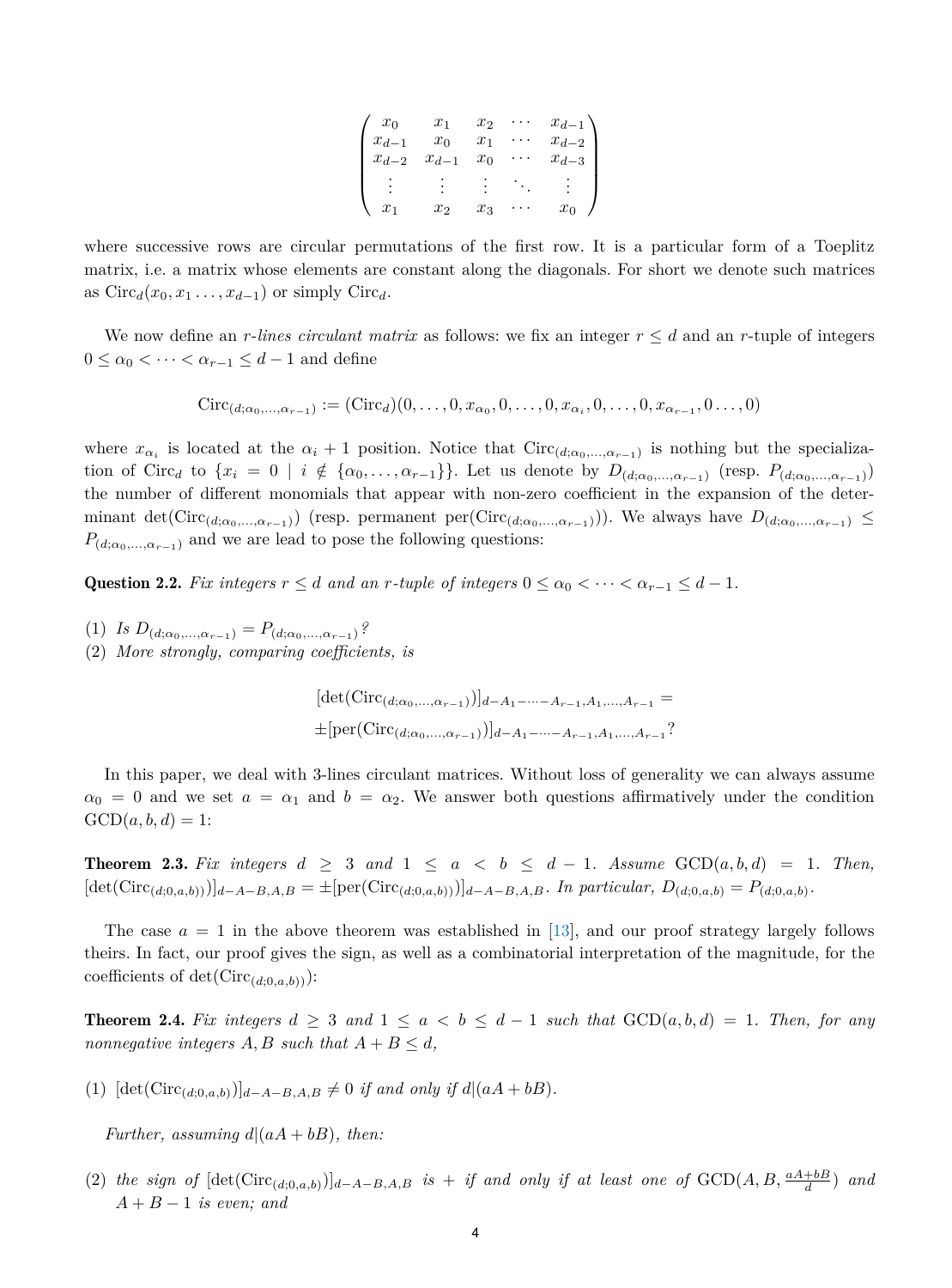| $x_0$         | $x_1$     | $x_2$ | $x_{d-1}$ |
|---------------|-----------|-------|-----------|
| $x_{d-1}$     | $x_0$     | $x_1$ | $x_{d-2}$ |
| $x_d$<br>$-2$ | $x_{d-1}$ | $x_0$ | $x_{d-3}$ |
|               |           |       |           |
|               |           |       |           |
| $x_1$         | $x_2$     | $x_3$ | $x_0$     |

<span id="page-3-0"></span>where successive rows are circular permutations of the first row. It is a particular form of a Toeplitz matrix, i.e. a matrix whose elements are constant along the diagonals. For short we denote such matrices as  $Circ_d(x_0, x_1, \ldots, x_{d-1})$  or simply  $Circ_d$ .

We now define an *r*-lines *circulant* matrix as follows: we fix an integer  $r \leq d$  and an *r*-tuple of integers  $0 \leq \alpha_0 < \cdots < \alpha_{r-1} \leq d-1$  and define

$$
Circ_{(d; \alpha_0, ..., \alpha_{r-1})} := (Circ_d)(0, ..., 0, x_{\alpha_0}, 0, ..., 0, x_{\alpha_i}, 0, ..., 0, x_{\alpha_{r-1}}, 0, ..., 0)
$$

where  $x_{\alpha_i}$  is located at the  $\alpha_i + 1$  position. Notice that Circ<sub>(*d*; $\alpha_0$ ,..., $\alpha_{r-1}$ )</sub> is nothing but the specialization of Circ<sub>d</sub> to  $\{x_i = 0 \mid i \notin \{\alpha_0, \ldots, \alpha_{r-1}\}\}\.$  Let us denote by  $D_{(d;\alpha_0,\ldots,\alpha_{r-1})}$  (resp.  $P_{(d;\alpha_0,\ldots,\alpha_{r-1})}$ ) the number of different monomials that appear with non-zero coefficient in the expansion of the determinant det(Circ<sub>(d; $\alpha_0$ ,..., $\alpha_{r-1}$ )) (resp. permanent per(Circ<sub>(d; $\alpha_0$ ,..., $\alpha_{r-1}$ ))). We always have  $D_{(d;\alpha_0,...,\alpha_{r-1})} \leq$ </sub></sub>  $P_{(d;\alpha_0,\ldots,\alpha_{r-1})}$  and we are lead to pose the following questions:

Question 2.2. *Fix integers*  $r \leq d$  *and an*  $r$ *-tuple of integers*  $0 \leq \alpha_0 < \cdots < \alpha_{r-1} \leq d-1$ *.* 

- $(I)$  *Is*  $D_{(d;\alpha_0,...,\alpha_{r-1})} = P_{(d;\alpha_0,...,\alpha_{r-1})}$ ?
- (2) *More strongly, comparing coefficients, is*

$$
[\det(\text{Circ}_{(d; \alpha_0, \dots, \alpha_{r-1})})]_{d-A_1-\dots-A_{r-1}, A_1, \dots, A_{r-1}} =
$$
  
 
$$
\pm [\text{per}(\text{Circ}_{(d; \alpha_0, \dots, \alpha_{r-1})})]_{d-A_1-\dots-A_{r-1}, A_1, \dots, A_{r-1}}?
$$

In this paper, we deal with 3-lines circulant matrices. Without loss of generality we can always assume  $\alpha_0 = 0$  and we set  $a = \alpha_1$  and  $b = \alpha_2$ . We answer both questions affirmatively under the condition  $GCD(a, b, d) = 1$ :

**Theorem 2.3.** Fix integers  $d \geq 3$  and  $1 \leq a \leq b \leq d-1$ . Assume  $GCD(a, b, d) = 1$ . Then,  $[\det(\text{Circ}_{(d;0,a,b)})]_{d-A-B,A,B} = \pm [\text{per}(\text{Circ}_{(d;0,a,b)})]_{d-A-B,A,B}.$  In particular,  $D_{(d;0,a,b)} = P_{(d;0,a,b)}.$ 

The case  $a = 1$  in the above theorem was established in [[13\]](#page-13-0), and our proof strategy largely follows theirs. In fact, our proof gives the sign, as well as a combinatorial interpretation of the magnitude, for the coefficients of  $\det(\text{Circ}_{(d:0,a,b)})$ :

**Theorem 2.4.** Fix integers  $d \geq 3$  and  $1 \leq a < b \leq d-1$  such that  $GCD(a, b, d) = 1$ . Then, for any *nonnegative integers*  $A, B$  *such that*  $A + B \le d$ *,* 

 $(1)$  [det(Circ<sub>(d;0,a,b)</sub>)]<sub>d-A-B,A,B</sub>  $\neq$  0 *if* and only *if*  $d|(aA + bB)$ .

*Further, assuming*  $d|(aA + bB)$ *, then:* 

(2) the sign of  $[\det(\text{Circ}_{(d,0,a,b)})]_{d-A-B,A,B}$  is + if and only if at least one of  $\text{GCD}(A, B, \frac{aA+bB}{d})$  and *A* + *B* − 1 *is even; and*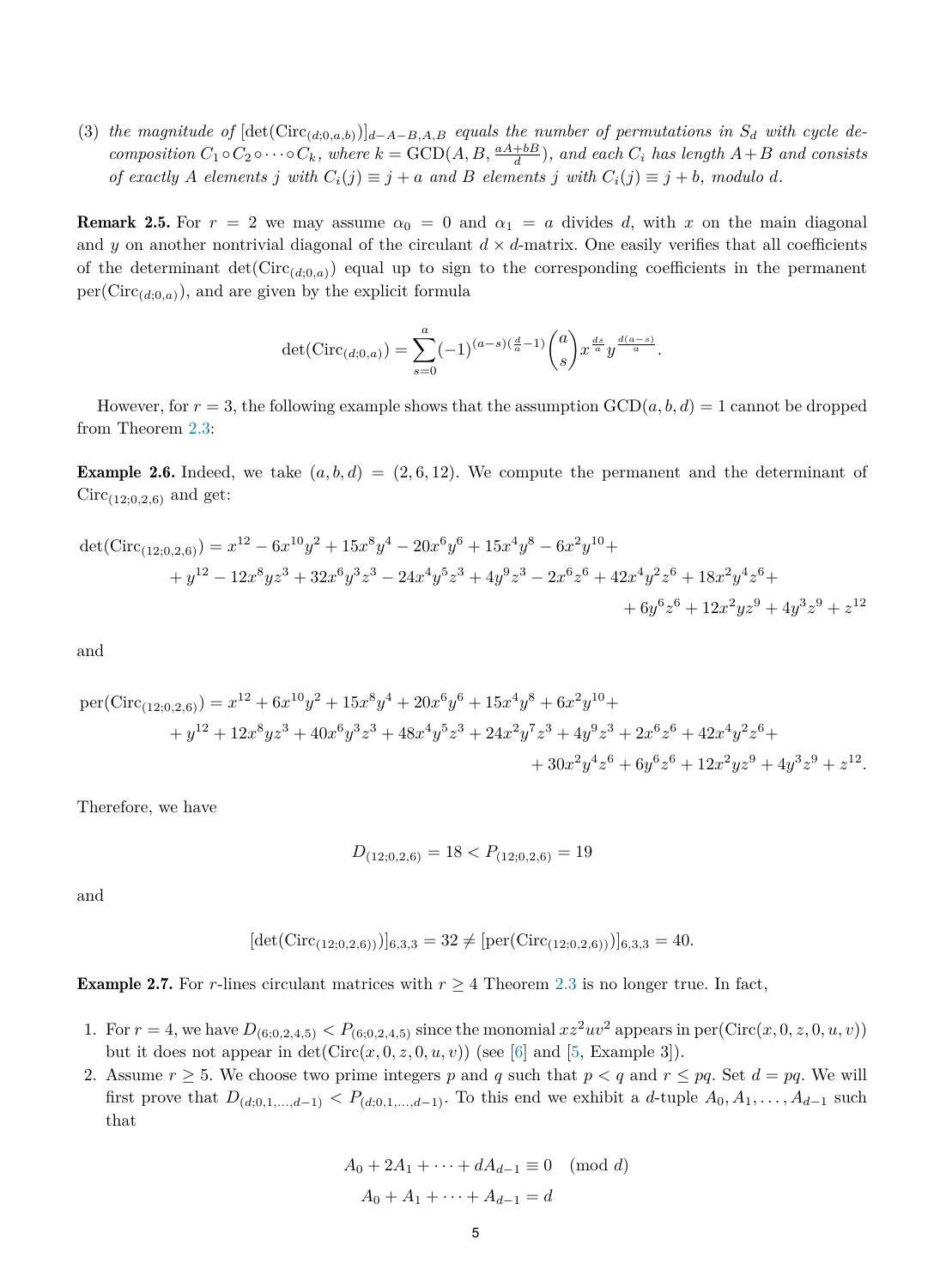<span id="page-4-0"></span>(3) the magnitude of  $[\det(\text{Circ}_{(d,0,a,b)})]_{d-A-B,A,B}$  equals the number of permutations in  $S_d$  with cycle decomposition  $C_1 \circ C_2 \circ \cdots \circ C_k$ , where  $k = \text{GCD}(A, B, \frac{aA+bB}{d})$ , and each  $C_i$  has length  $A+B$  and consists of exactly A elements j with  $C_i(j) \equiv j + a$  and B elements j with  $C_i(j) \equiv j + b$ , modulo d.

**Remark 2.5.** For  $r = 2$  we may assume  $\alpha_0 = 0$  and  $\alpha_1 = a$  divides d, with x on the main diagonal and *y* on another nontrivial diagonal of the circulant  $d \times d$ -matrix. One easily verifies that all coefficients of the determinant  $\det(\text{Circ}_{(d;0,a)})$  equal up to sign to the corresponding coefficients in the permanent  $per(Circ_{(d,0,a)})$ , and are given by the explicit formula

$$
\det(\text{Circ}_{(d;0,a)}) = \sum_{s=0}^{a} (-1)^{(a-s)(\frac{d}{a}-1)} \binom{a}{s} x^{\frac{ds}{a}} y^{\frac{d(a-s)}{a}}.
$$

However, for  $r = 3$ , the following example shows that the assumption  $GCD(a, b, d) = 1$  cannot be dropped from Theorem [2.3:](#page-3-0)

**Example 2.6.** Indeed, we take  $(a, b, d) = (2, 6, 12)$ . We compute the permanent and the determinant of  $Circ_{(12:0,2.6)}$  and get:

$$
det(Circ_{(12;0,2,6)}) = x^{12} - 6x^{10}y^2 + 15x^8y^4 - 20x^6y^6 + 15x^4y^8 - 6x^2y^{10} +
$$
  
+  $y^{12} - 12x^8yz^3 + 32x^6y^3z^3 - 24x^4y^5z^3 + 4y^9z^3 - 2x^6z^6 + 42x^4y^2z^6 + 18x^2y^4z^6 +$   
+  $6y^6z^6 + 12x^2yz^9 + 4y^3z^9 + z^{12}$ 

and

per(Circ<sub>(12;0,2,6)</sub>) = 
$$
x^{12} + 6x^{10}y^2 + 15x^8y^4 + 20x^6y^6 + 15x^4y^8 + 6x^2y^{10} +
$$
  
+  $y^{12} + 12x^8yz^3 + 40x^6y^3z^3 + 48x^4y^5z^3 + 24x^2y^7z^3 + 4y^9z^3 + 2x^6z^6 + 42x^4y^2z^6 +$   
+  $30x^2y^4z^6 + 6y^6z^6 + 12x^2yz^9 + 4y^3z^9 + z^{12}$ .

Therefore, we have

$$
D_{(12;0,2,6)} = 18 < P_{(12;0,2,6)} = 19
$$

and

$$
[\det(\text{Circ}_{(12;0,2,6)})]_{6,3,3} = 32 \neq [\text{per}(\text{Circ}_{(12;0,2,6)})]_{6,3,3} = 40.
$$

**Example 2.7.** For *r*-lines circulant matrices with  $r \geq 4$  Theorem [2.3](#page-3-0) is no longer true. In fact,

- 1. For  $r = 4$ , we have  $D_{(6;0,2,4,5)} < P_{(6;0,2,4,5)}$  since the monomial  $xz^2uv^2$  appears in per(Circ(x, 0, z, 0, u, v)) but it does not appear in  $\det(\text{Circ}(x, 0, z, 0, u, v))$  (see [\[6](#page-13-0)] and [\[5](#page-13-0), Example 3]).
- 2. Assume  $r \geq 5$ . We choose two prime integers p and q such that  $p < q$  and  $r \leq pq$ . Set  $d = pq$ . We will first prove that  $D_{(d,0,1,\ldots,d-1)} < P_{(d,0,1,\ldots,d-1)}$ . To this end we exhibit a *d*-tuple  $A_0, A_1, \ldots, A_{d-1}$  such that

$$
A_0 + 2A_1 + \dots + dA_{d-1} \equiv 0 \pmod{d}
$$
  

$$
A_0 + A_1 + \dots + A_{d-1} = d
$$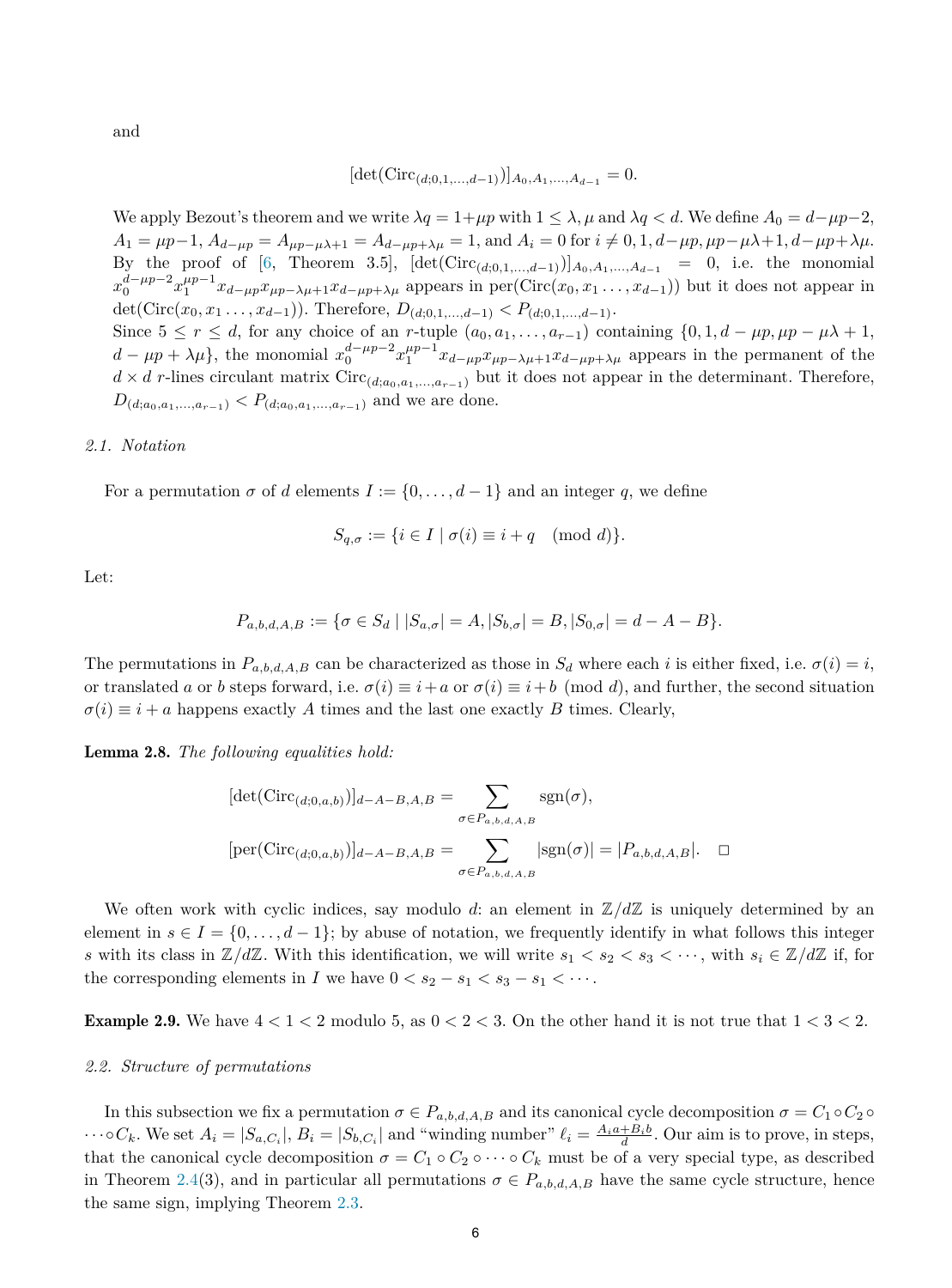<span id="page-5-0"></span>and

$$
[\det(\text{Circ}_{(d;0,1,\ldots,d-1)})]_{A_0,A_1,\ldots,A_{d-1}}=0.
$$

We apply Bezout's theorem and we write  $\lambda q = 1 + \mu p$  with  $1 \leq \lambda$ ,  $\mu$  and  $\lambda q < d$ . We define  $A_0 = d - \mu p - 2$ ,  $A_1 = \mu p - 1$ ,  $A_{d-\mu p} = A_{\mu p - \mu \lambda + 1} = A_{d-\mu p + \lambda \mu} = 1$ , and  $A_i = 0$  for  $i \neq 0, 1, d - \mu p$ ,  $\mu p - \mu \lambda + 1, d - \mu p + \lambda \mu$ . By the proof of [[6,](#page-13-0) Theorem 3.5],  $[\det(\text{Circ}_{(d;0,1,...,d-1)})]_{A_0,A_1,...,A_{d-1}} = 0$ , i.e. the monomial  $x_0^{d-\mu p-2}x_1^{\mu p-1}x_{d-\mu p}x_{\mu p-\lambda \mu+1}x_{d-\mu p+\lambda \mu}$  appears in per $(\text{Circ}(x_0, x_1, \ldots, x_{d-1}))$  but it does not appear in det(Circ( $x_0, x_1, \ldots, x_{d-1}$ )). Therefore,  $D_{(d;0,1,\ldots,d-1)} < P_{(d;0,1,\ldots,d-1)}$ . Since  $5 \leq r \leq d$ , for any choice of an *r*-tuple  $(a_0, a_1, \ldots, a_{r-1})$  containing  $\{0, 1, d - \mu p, \mu p - \mu \lambda + 1,$  $d - \mu p + \lambda \mu$ , the monomial  $x_0^{d-\mu p-2} x_1^{\mu p-1} x_{d-\mu p} x_{\mu p-\lambda \mu+1} x_{d-\mu p+\lambda \mu}$  appears in the permanent of the  $d \times d$  *r*-lines circulant matrix Circ<sub>(*d*;*a*<sub>0</sub>,*a*<sub>1</sub>,...,*a*<sub>*r*−1</sub>)</sub> but it does not appear in the determinant. Therefore,  $D_{(d;a_0, a_1, ..., a_{r-1})} < P_{(d;a_0, a_1, ..., a_{r-1})}$  and we are done.

#### *2.1. Notation*

For a permutation  $\sigma$  of *d* elements  $I := \{0, \ldots, d-1\}$  and an integer *q*, we define

$$
S_{q,\sigma} := \{ i \in I \mid \sigma(i) \equiv i + q \pmod{d} \}.
$$

Let:

$$
P_{a,b,d,A,B} := \{ \sigma \in S_d \mid |S_{a,\sigma}| = A, |S_{b,\sigma}| = B, |S_{0,\sigma}| = d - A - B \}.
$$

The permutations in  $P_{a,b,d,A,B}$  can be characterized as those in  $S_d$  where each *i* is either fixed, i.e.  $\sigma(i) = i$ , or translated *a* or *b* steps forward, i.e.  $\sigma(i) \equiv i + a$  or  $\sigma(i) \equiv i + b \pmod{d}$ , and further, the second situation  $\sigma(i) \equiv i + a$  happens exactly *A* times and the last one exactly *B* times. Clearly,

Lemma 2.8. *The following equalities hold:*

$$
[\det(\text{Circ}_{(d;0,a,b)})]_{d-A-B,A,B} = \sum_{\sigma \in P_{a,b,d,A,B}} \text{sgn}(\sigma),
$$
  

$$
[\text{per}(\text{Circ}_{(d;0,a,b)})]_{d-A-B,A,B} = \sum_{\sigma \in P_{a,b,d,A,B}} |\text{sgn}(\sigma)| = |P_{a,b,d,A,B}|. \quad \Box
$$

We often work with cyclic indices, say modulo d: an element in  $\mathbb{Z}/d\mathbb{Z}$  is uniquely determined by an element in  $s \in I = \{0, \ldots, d-1\}$ ; by abuse of notation, we frequently identify in what follows this integer *s* with its class in  $\mathbb{Z}/d\mathbb{Z}$ . With this identification, we will write  $s_1 < s_2 < s_3 < \cdots$ , with  $s_i \in \mathbb{Z}/d\mathbb{Z}$  if, for the corresponding elements in *I* we have  $0 < s_2 - s_1 < s_3 - s_1 < \cdots$ .

**Example 2.9.** We have  $4 < 1 < 2$  modulo 5, as  $0 < 2 < 3$ . On the other hand it is not true that  $1 < 3 < 2$ .

### *2.2. Structure of permutations*

In this subsection we fix a permutation  $\sigma \in P_{a,b,d,A,B}$  and its canonical cycle decomposition  $\sigma = C_1 \circ C_2 \circ$  $\cdots \circ C_k$ . We set  $A_i = |S_{a,C_i}|$ ,  $B_i = |S_{b,C_i}|$  and "winding number"  $\ell_i = \frac{A_i a + B_i b}{d}$ . Our aim is to prove, in steps, that the canonical cycle decomposition  $\sigma = C_1 \circ C_2 \circ \cdots \circ C_k$  must be of a very special type, as described in Theorem [2.4](#page-3-0)(3), and in particular all permutations  $\sigma \in P_{a,b,d,A,B}$  have the same cycle structure, hence the same sign, implying Theorem [2.3](#page-3-0).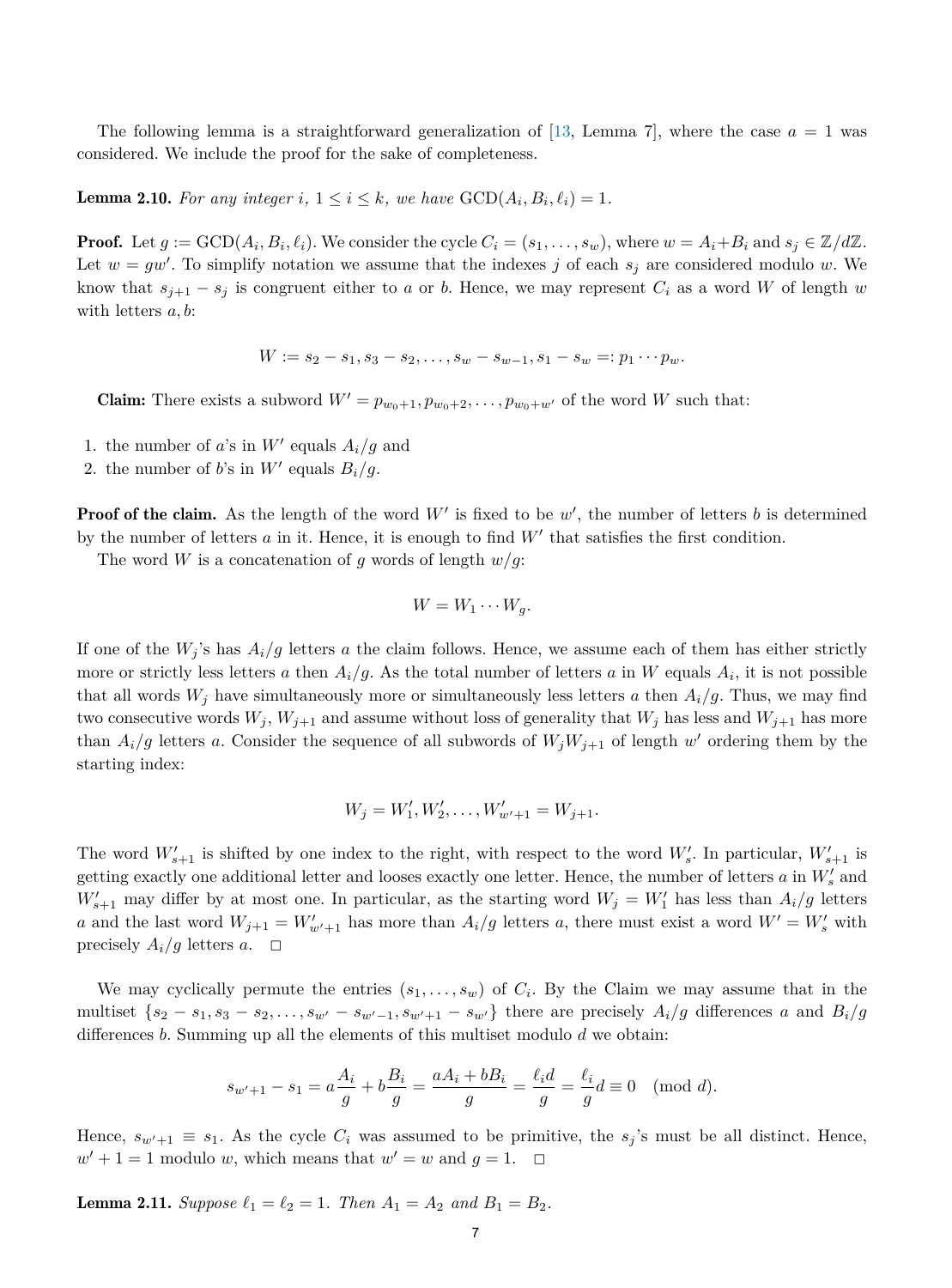<span id="page-6-0"></span>The following lemma is a straightforward generalization of [\[13,](#page-13-0) Lemma 7], where the case  $a = 1$  was considered. We include the proof for the sake of completeness.

**Lemma 2.10.** For any integer i,  $1 \leq i \leq k$ , we have  $\text{GCD}(A_i, B_i, \ell_i) = 1$ .

**Proof.** Let  $g := GCD(A_i, B_i, \ell_i)$ . We consider the cycle  $C_i = (s_1, \ldots, s_w)$ , where  $w = A_i + B_i$  and  $s_i \in \mathbb{Z}/d\mathbb{Z}$ . Let  $w = gw'$ . To simplify notation we assume that the indexes *j* of each  $s_j$  are considered modulo *w*. We know that  $s_{i+1} - s_i$  is congruent either to *a* or *b*. Hence, we may represent  $C_i$  as a word *W* of length *w* with letters *a, b*:

$$
W := s_2 - s_1, s_3 - s_2, \dots, s_w - s_{w-1}, s_1 - s_w =: p_1 \cdots p_w.
$$

**Claim:** There exists a subword  $W' = p_{w_0+1}, p_{w_0+2}, \ldots, p_{w_0+w'}$  of the word *W* such that:

- 1. the number of *a*'s in  $W'$  equals  $A_i/g$  and
- 2. the number of *b*'s in  $W'$  equals  $B_i/g$ .

Proof of the claim. As the length of the word *W* is fixed to be *w* , the number of letters *b* is determined by the number of letters  $a$  in it. Hence, it is enough to find  $W'$  that satisfies the first condition.

The word *W* is a concatenation of *g* words of length  $w/g$ :

$$
W = W_1 \cdots W_g.
$$

If one of the  $W_i$ 's has  $A_i/g$  letters *a* the claim follows. Hence, we assume each of them has either strictly more or strictly less letters *a* then  $A_i/g$ . As the total number of letters *a* in *W* equals  $A_i$ , it is not possible that all words  $W_j$  have simultaneously more or simultaneously less letters *a* then  $A_i/g$ . Thus, we may find two consecutive words  $W_j$ ,  $W_{j+1}$  and assume without loss of generality that  $W_j$  has less and  $W_{j+1}$  has more than  $A_i/g$  letters *a*. Consider the sequence of all subwords of  $W_iW_{i+1}$  of length w' ordering them by the starting index:

$$
W_j = W'_1, W'_2, \dots, W'_{w'+1} = W_{j+1}.
$$

The word  $W'_{s+1}$  is shifted by one index to the right, with respect to the word  $W'_{s}$ . In particular,  $W'_{s+1}$  is getting exactly one additional letter and looses exactly one letter. Hence, the number of letters  $a$  in  $W'_s$  and  $W'_{s+1}$  may differ by at most one. In particular, as the starting word  $W_j = W'_1$  has less than  $A_i/g$  letters *a* and the last word  $W_{j+1} = W'_{w'+1}$  has more than  $A_i/g$  letters *a*, there must exist a word  $W' = W'_{s}$  with precisely  $A_i/g$  letters  $a$ .  $\Box$ 

We may cyclically permute the entries  $(s_1, \ldots, s_w)$  of  $C_i$ . By the Claim we may assume that in the multiset  $\{s_2-s_1, s_3-s_2,\ldots,s_{w'}-s_{w'-1}, s_{w'+1}-s_{w'}\}$  there are precisely  $A_i/g$  differences a and  $B_i/g$ differences *b*. Summing up all the elements of this multiset modulo *d* we obtain:

$$
s_{w'+1} - s_1 = a\frac{A_i}{g} + b\frac{B_i}{g} = \frac{aA_i + bB_i}{g} = \frac{\ell_i d}{g} = \frac{\ell_i}{g}d \equiv 0 \pmod{d}.
$$

Hence,  $s_{w'+1} \equiv s_1$ . As the cycle  $C_i$  was assumed to be primitive, the  $s_j$ 's must be all distinct. Hence,  $w' + 1 = 1$  modulo *w*, which means that  $w' = w$  and  $g = 1$ .  $\Box$ 

**Lemma 2.11.** Suppose  $\ell_1 = \ell_2 = 1$ . Then  $A_1 = A_2$  and  $B_1 = B_2$ .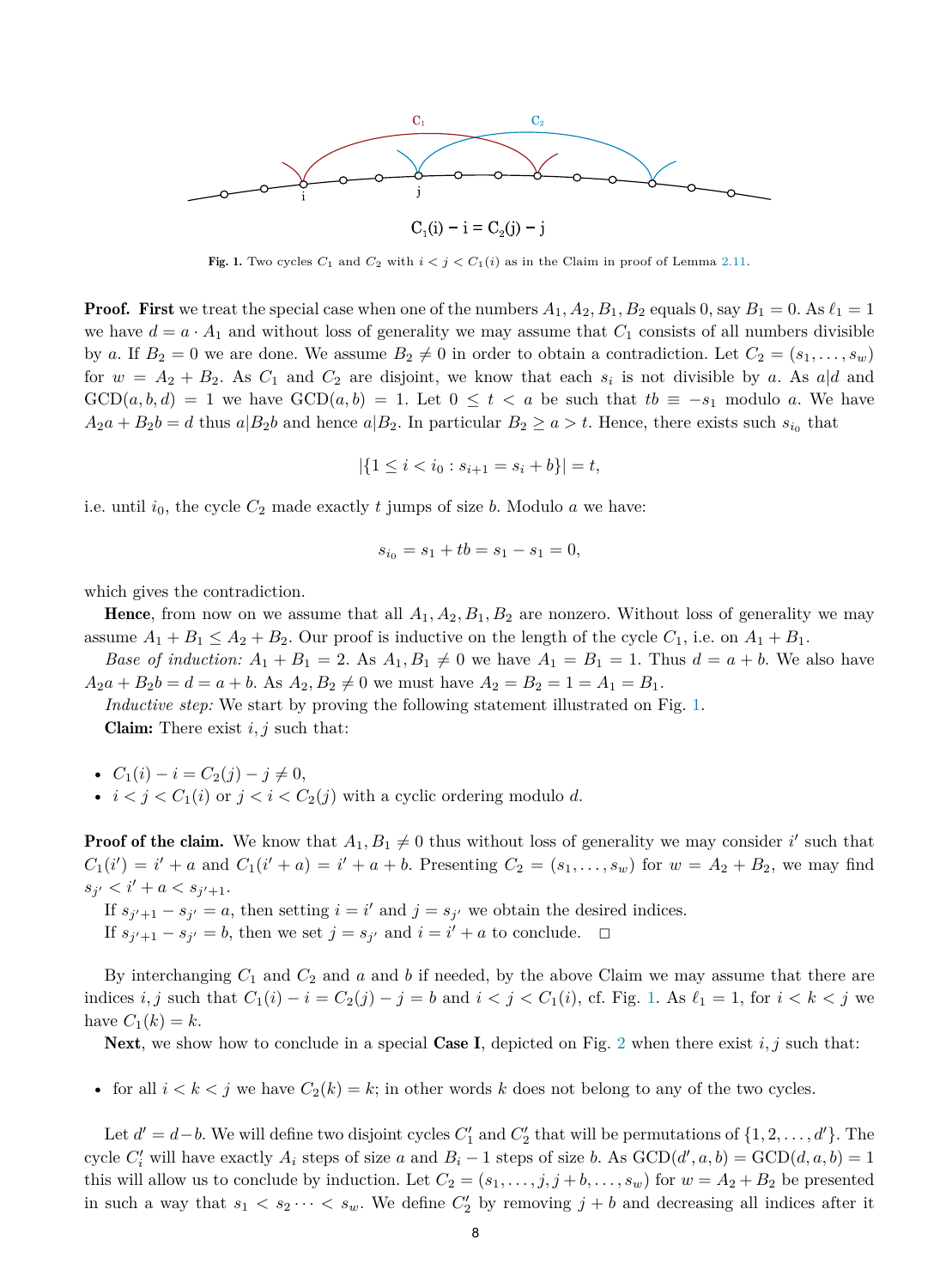

Fig. 1. Two cycles  $C_1$  and  $C_2$  with  $i < j < C_1(i)$  as in the Claim in proof of Lemma [2.11.](#page-6-0)

**Proof.** First we treat the special case when one of the numbers  $A_1$ ,  $A_2$ ,  $B_1$ ,  $B_2$  equals 0, say  $B_1 = 0$ . As  $\ell_1 = 1$ we have  $d = a \cdot A_1$  and without loss of generality we may assume that  $C_1$  consists of all numbers divisible by *a*. If  $B_2 = 0$  we are done. We assume  $B_2 \neq 0$  in order to obtain a contradiction. Let  $C_2 = (s_1, \ldots, s_w)$ for  $w = A_2 + B_2$ . As  $C_1$  and  $C_2$  are disjoint, we know that each  $s_i$  is not divisible by a. As  $a|d$  and  $GCD(a, b, d) = 1$  we have  $GCD(a, b) = 1$ . Let  $0 \le t < a$  be such that  $tb \equiv -s_1$  modulo a. We have  $A_2a + B_2b = d$  thus  $a|B_2b$  and hence  $a|B_2$ . In particular  $B_2 \ge a > t$ . Hence, there exists such  $s_{i0}$  that

$$
|\{1 \le i < i_0 : s_{i+1} = s_i + b\}| = t,
$$

i.e. until  $i_0$ , the cycle  $C_2$  made exactly  $t$  jumps of size  $b$ . Modulo  $a$  we have:

$$
s_{i_0} = s_1 + tb = s_1 - s_1 = 0,
$$

which gives the contradiction.

**Hence**, from now on we assume that all  $A_1$ ,  $A_2$ ,  $B_1$ ,  $B_2$  are nonzero. Without loss of generality we may assume  $A_1 + B_1 \leq A_2 + B_2$ . Our proof is inductive on the length of the cycle  $C_1$ , i.e. on  $A_1 + B_1$ .

*Base of induction:*  $A_1 + B_1 = 2$ . As  $A_1, B_1 \neq 0$  we have  $A_1 = B_1 = 1$ . Thus  $d = a + b$ . We also have  $A_2a + B_2b = d = a + b$ . As  $A_2, B_2 \neq 0$  we must have  $A_2 = B_2 = 1 = A_1 = B_1$ .

*Inductive step:* We start by proving the following statement illustrated on Fig. 1. Claim: There exist *i, j* such that:

• 
$$
C_1(i) - i = C_2(j) - j \neq 0
$$
,

•  $i < j < C_1(i)$  or  $j < i < C_2(j)$  with a cyclic ordering modulo *d*.

**Proof of the claim.** We know that  $A_1, B_1 \neq 0$  thus without loss of generality we may consider *i*' such that  $C_1(i') = i' + a$  and  $C_1(i'+a) = i' + a + b$ . Presenting  $C_2 = (s_1, \ldots, s_w)$  for  $w = A_2 + B_2$ , we may find  $s_{j'} < i' + a < s_{j'+1}.$ 

If  $s_{j'+1} - s_{j'} = a$ , then setting  $i = i'$  and  $j = s_{j'}$  we obtain the desired indices. If  $s_{j'+1} - s_{j'} = b$ , then we set  $j = s_{j'}$  and  $i = i' + a$  to conclude.  $□$ 

By interchanging *C*<sup>1</sup> and *C*<sup>2</sup> and *a* and *b* if needed, by the above Claim we may assume that there are indices *i, j* such that  $C_1(i) - i = C_2(j) - j = b$  and  $i < j < C_1(i)$ , cf. Fig. 1. As  $\ell_1 = 1$ , for  $i < k < j$  we have  $C_1(k) = k$ .

Next, we show how to conclude in a special Case I, depicted on Fig. [2](#page-8-0) when there exist  $i, j$  such that:

• for all  $i < k < j$  we have  $C_2(k) = k$ ; in other words k does not belong to any of the two cycles.

Let  $d' = d - b$ . We will define two disjoint cycles  $C'_1$  and  $C'_2$  that will be permutations of  $\{1, 2, \ldots, d'\}$ . The cycle  $C_i'$  will have exactly  $A_i$  steps of size  $a$  and  $B_i - 1$  steps of size  $b$ . As  $GCD(d', a, b) = GCD(d, a, b) = 1$ this will allow us to conclude by induction. Let  $C_2 = (s_1, \ldots, j, j + b, \ldots, s_w)$  for  $w = A_2 + B_2$  be presented in such a way that  $s_1 < s_2 \cdots < s_w$ . We define  $C'_2$  by removing  $j + b$  and decreasing all indices after it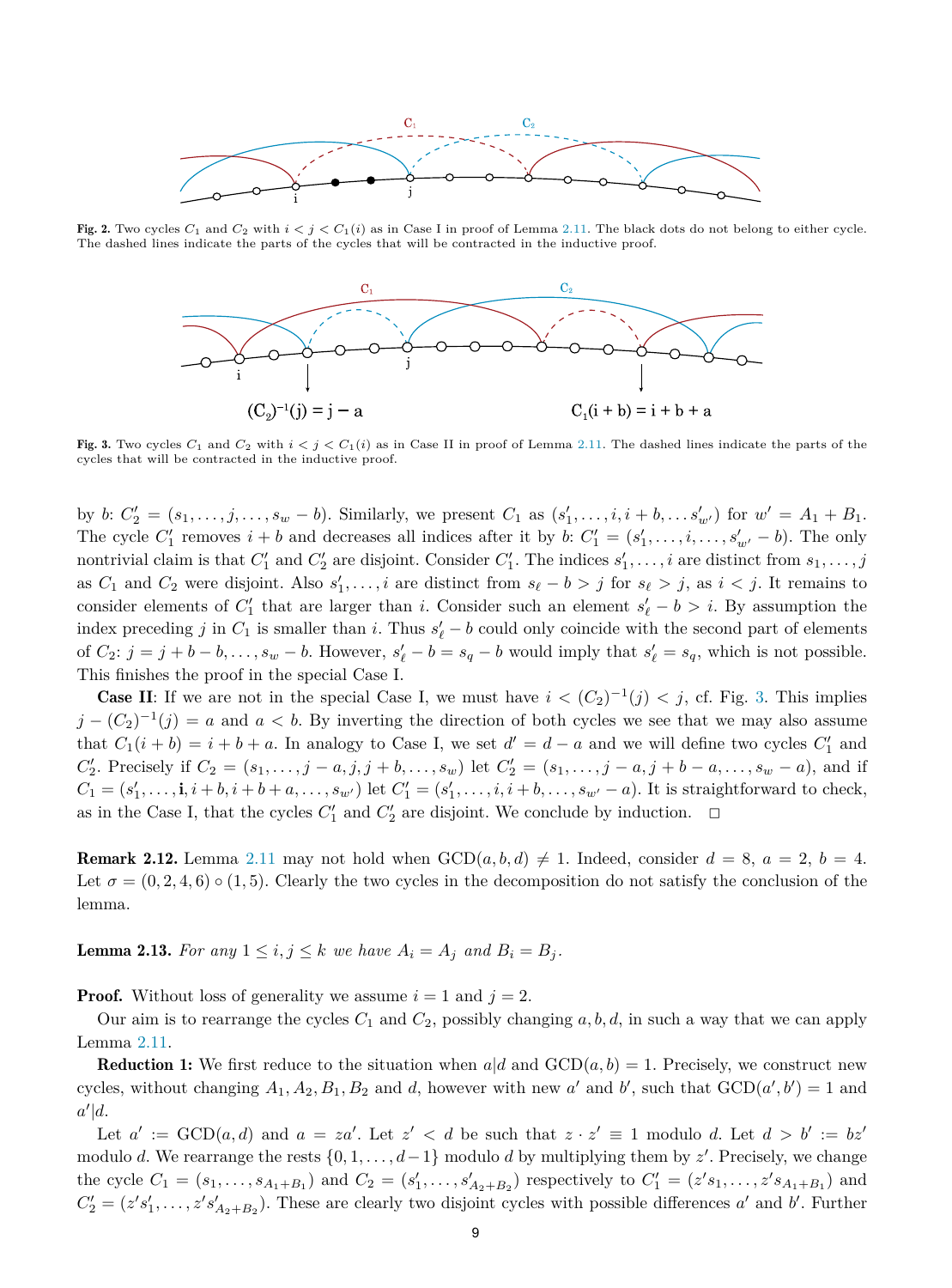<span id="page-8-0"></span>

Fig. 2. Two cycles  $C_1$  and  $C_2$  with  $i < j < C_1(i)$  as in Case I in proof of Lemma [2.11.](#page-6-0) The black dots do not belong to either cycle. The dashed lines indicate the parts of the cycles that will be contracted in the inductive proof.



Fig. 3. Two cycles  $C_1$  and  $C_2$  with  $i < j < C_1(i)$  as in Case II in proof of Lemma [2.11.](#page-6-0) The dashed lines indicate the parts of the cycles that will be contracted in the inductive proof.

by b:  $C'_2 = (s_1, \ldots, j, \ldots, s_w - b)$ . Similarly, we present  $C_1$  as  $(s'_1, \ldots, i, i + b, \ldots, s'_{w'})$  for  $w' = A_1 + B_1$ . The cycle  $C'_1$  removes  $i + b$  and decreases all indices after it by  $b: C'_1 = (s'_1, \ldots, s'_{w'} - b)$ . The only nontrivial claim is that  $C'_1$  and  $C'_2$  are disjoint. Consider  $C'_1$ . The indices  $s'_1, \ldots, i$  are distinct from  $s_1, \ldots, j$ as  $C_1$  and  $C_2$  were disjoint. Also  $s'_1, \ldots, i$  are distinct from  $s_\ell - b > j$  for  $s_\ell > j$ , as  $i < j$ . It remains to consider elements of  $C'_1$  that are larger than *i*. Consider such an element  $s'_\ell - b > i$ . By assumption the index preceding *j* in  $C_1$  is smaller than *i*. Thus  $s'_\ell - b$  could only coincide with the second part of elements of  $C_2$ :  $j = j + b - b, \ldots, s_w - b$ . However,  $s'_\ell - b = s_q - b$  would imply that  $s'_\ell = s_q$ , which is not possible. This finishes the proof in the special Case I.

**Case II:** If we are not in the special Case I, we must have  $i < (C_2)^{-1}(j) < j$ , cf. Fig. 3. This implies  $j - (C_2)^{-1}(j) = a$  and  $a < b$ . By inverting the direction of both cycles we see that we may also assume that  $C_1(i + b) = i + b + a$ . In analogy to Case I, we set  $d' = d - a$  and we will define two cycles  $C'_1$  and  $C'_2$ . Precisely if  $C_2 = (s_1, \ldots, j - a, j, j + b, \ldots, s_w)$  let  $C'_2 = (s_1, \ldots, j - a, j + b - a, \ldots, s_w - a)$ , and if  $C_1 = (s'_1, \ldots, i, i + b, i + b + a, \ldots, s_{w'})$  let  $C'_1 = (s'_1, \ldots, i, i + b, \ldots, s_{w'} - a)$ . It is straightforward to check, as in the Case I, that the cycles  $C'_1$  and  $C'_2$  are disjoint. We conclude by induction.  $\Box$ 

**Remark 2.12.** Lemma [2.11](#page-6-0) may not hold when  $GCD(a, b, d) \neq 1$ . Indeed, consider  $d = 8$ ,  $a = 2$ ,  $b = 4$ . Let  $\sigma = (0, 2, 4, 6) \circ (1, 5)$ . Clearly the two cycles in the decomposition do not satisfy the conclusion of the lemma.

**Lemma 2.13.** For any  $1 \leq i, j \leq k$  *we have*  $A_i = A_j$  *and*  $B_i = B_j$ *.* 

**Proof.** Without loss of generality we assume  $i = 1$  and  $j = 2$ .

Our aim is to rearrange the cycles  $C_1$  and  $C_2$ , possibly changing  $a, b, d$ , in such a way that we can apply Lemma [2.11](#page-6-0).

**Reduction 1:** We first reduce to the situation when  $a|d$  and  $GCD(a, b) = 1$ . Precisely, we construct new cycles, without changing  $A_1, A_2, B_1, B_2$  and *d*, however with new *a*' and *b*', such that  $\text{GCD}(a', b') = 1$  and *a* |*d*.

Let  $a' := \text{GCD}(a, d)$  and  $a = za'$ . Let  $z' < d$  be such that  $z \cdot z' \equiv 1$  modulo *d*. Let  $d > b' := bz'$ modulo *d*. We rearrange the rests {0*,* 1*, ..., d*−1} modulo *d* by multiplying them by *z* . Precisely, we change the cycle  $C_1 = (s_1, \ldots, s_{A_1+B_1})$  and  $C_2 = (s'_1, \ldots, s'_{A_2+B_2})$  respectively to  $C'_1 = (z's_1, \ldots, z's_{A_1+B_1})$  and  $C'_2 = (z's'_1, \ldots, z's'_{A_2+B_2})$ . These are clearly two disjoint cycles with possible differences *a*' and *b*'. Further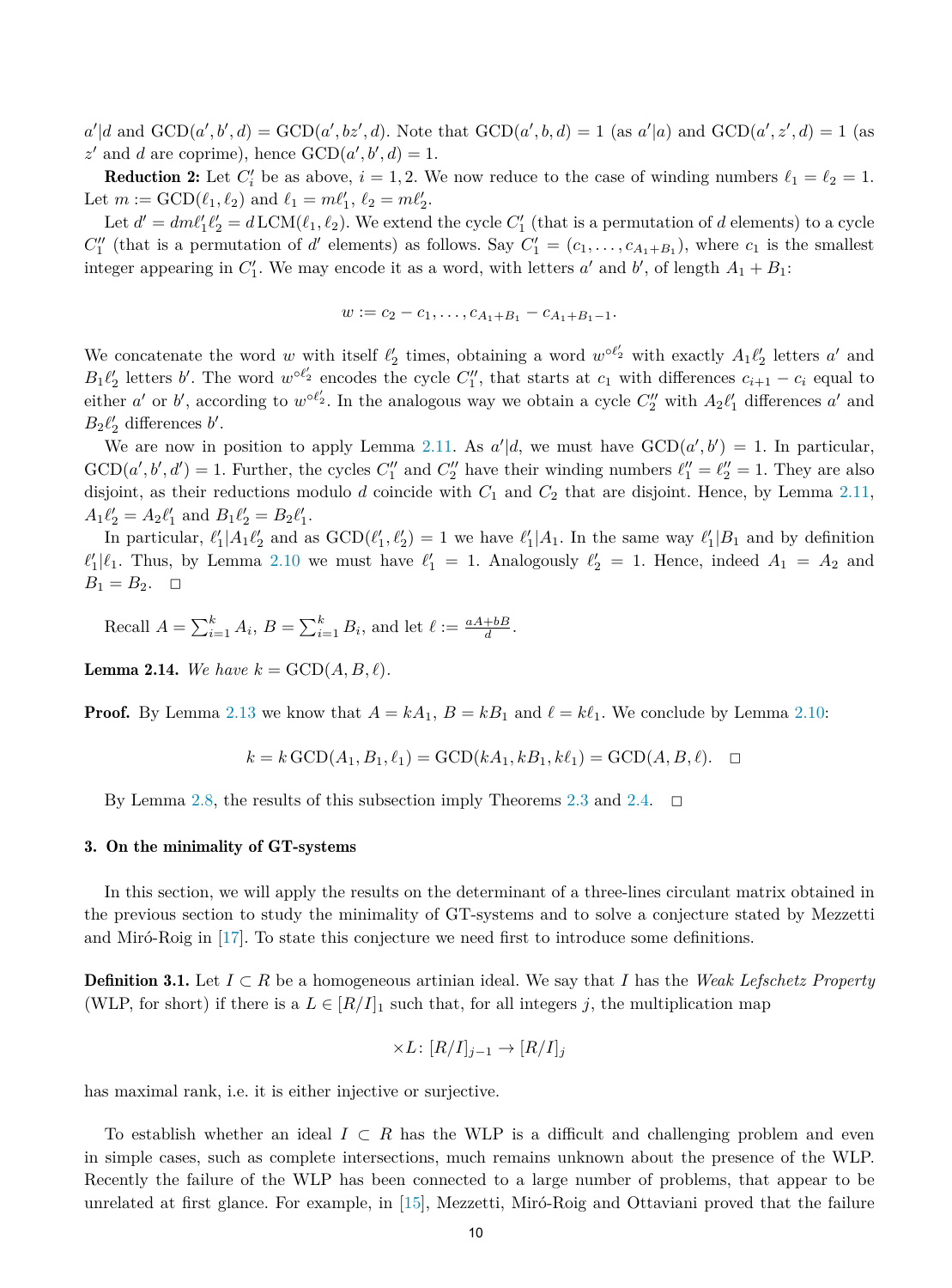<span id="page-9-0"></span> $a'|d$  and  $GCD(a', b', d) = GCD(a', bz', d)$ . Note that  $GCD(a', b, d) = 1$  (as  $a'|a$ ) and  $GCD(a', z', d) = 1$  (as  $z'$  and *d* are coprime), hence  $GCD(a', b', d) = 1$ .

**Reduction 2:** Let  $C_i'$  be as above,  $i = 1, 2$ . We now reduce to the case of winding numbers  $\ell_1 = \ell_2 = 1$ . Let  $m := \text{GCD}(\ell_1, \ell_2)$  and  $\ell_1 = m\ell'_1, \ell_2 = m\ell'_2$ .

Let  $d' = dm\ell'_1\ell'_2 = d\text{LCM}(\ell_1, \ell_2)$ . We extend the cycle  $C'_1$  (that is a permutation of *d* elements) to a cycle  $C_1''$  (that is a permutation of *d'* elements) as follows. Say  $C_1' = (c_1, \ldots, c_{A_1+B_1})$ , where  $c_1$  is the smallest integer appearing in  $C_1'$ . We may encode it as a word, with letters  $a'$  and  $b'$ , of length  $A_1 + B_1$ :

$$
w := c_2 - c_1, \ldots, c_{A_1 + B_1} - c_{A_1 + B_1 - 1}.
$$

We concatenate the word *w* with itself  $\ell'_2$  times, obtaining a word  $w^{\circ \ell'_2}$  with exactly  $A_1 \ell'_2$  letters *a'* and  $B_1\ell'_2$  letters *b*'. The word  $w^{\circ\ell'_2}$  encodes the cycle  $C''_1$ , that starts at  $c_1$  with differences  $c_{i+1} - c_i$  equal to either *a'* or *b'*, according to  $w^{\circ \ell_2'}$ . In the analogous way we obtain a cycle  $C_2''$  with  $A_2\ell'_1$  differences *a'* and  $B_2\ell'_2$  differences *b*'.

We are now in position to apply Lemma [2.11](#page-6-0). As  $a'|d$ , we must have  $GCD(a', b') = 1$ . In particular,  $GCD(a', b', d') = 1$ . Further, the cycles  $C''_1$  and  $C''_2$  have their winding numbers  $\ell''_1 = \ell''_2 = 1$ . They are also disjoint, as their reductions modulo *d* coincide with *C*<sup>1</sup> and *C*<sup>2</sup> that are disjoint. Hence, by Lemma [2.11,](#page-6-0)  $A_1 \ell'_2 = A_2 \ell'_1$  and  $B_1 \ell'_2 = B_2 \ell'_1$ .

In particular,  $\ell'_1 | A_1 \ell'_2$  and as  $GCD(\ell'_1, \ell'_2) = 1$  we have  $\ell'_1 | A_1$ . In the same way  $\ell'_1 | B_1$  and by definition  $\ell'_1|\ell_1$ . Thus, by Lemma [2.10](#page-6-0) we must have  $\ell'_1 = 1$ . Analogously  $\ell'_2 = 1$ . Hence, indeed  $A_1 = A_2$  and  $B_1 = B_2.$   $\Box$ 

Recall  $A = \sum_{i=1}^{k} A_i$ ,  $B = \sum_{i=1}^{k} B_i$ , and let  $\ell := \frac{aA+bB}{d}$ .

**Lemma 2.14.** We have  $k = \text{GCD}(A, B, \ell)$ .

**Proof.** By Lemma [2.13](#page-8-0) we know that  $A = kA_1$ ,  $B = kB_1$  and  $\ell = k\ell_1$ . We conclude by Lemma [2.10](#page-6-0):

$$
k = k \text{GCD}(A_1, B_1, \ell_1) = \text{GCD}(kA_1, kB_1, k\ell_1) = \text{GCD}(A, B, \ell).
$$

By Lemma [2.8](#page-5-0), the results of this subsection imply Theorems [2.3](#page-3-0) and [2.4](#page-3-0).  $\Box$ 

# 3. On the minimality of GT-systems

In this section, we will apply the results on the determinant of a three-lines circulant matrix obtained in the previous section to study the minimality of GT-systems and to solve a conjecture stated by Mezzetti and Miró-Roig in [[17\]](#page-13-0). To state this conjecture we need first to introduce some definitions.

**Definition 3.1.** Let *I* ⊂ *R* be a homogeneous artinian ideal. We say that *I* has the *Weak Lefschetz Property* (WLP, for short) if there is a  $L \in [R/I]_1$  such that, for all integers *j*, the multiplication map

$$
\times L \colon [R/I]_{j-1} \to [R/I]_j
$$

has maximal rank, i.e. it is either injective or surjective.

To establish whether an ideal *I* ⊂ *R* has the WLP is a difficult and challenging problem and even in simple cases, such as complete intersections, much remains unknown about the presence of the WLP. Recently the failure of the WLP has been connected to a large number of problems, that appear to be unrelated at first glance. For example, in [[15\]](#page-13-0), Mezzetti, Miró-Roig and Ottaviani proved that the failure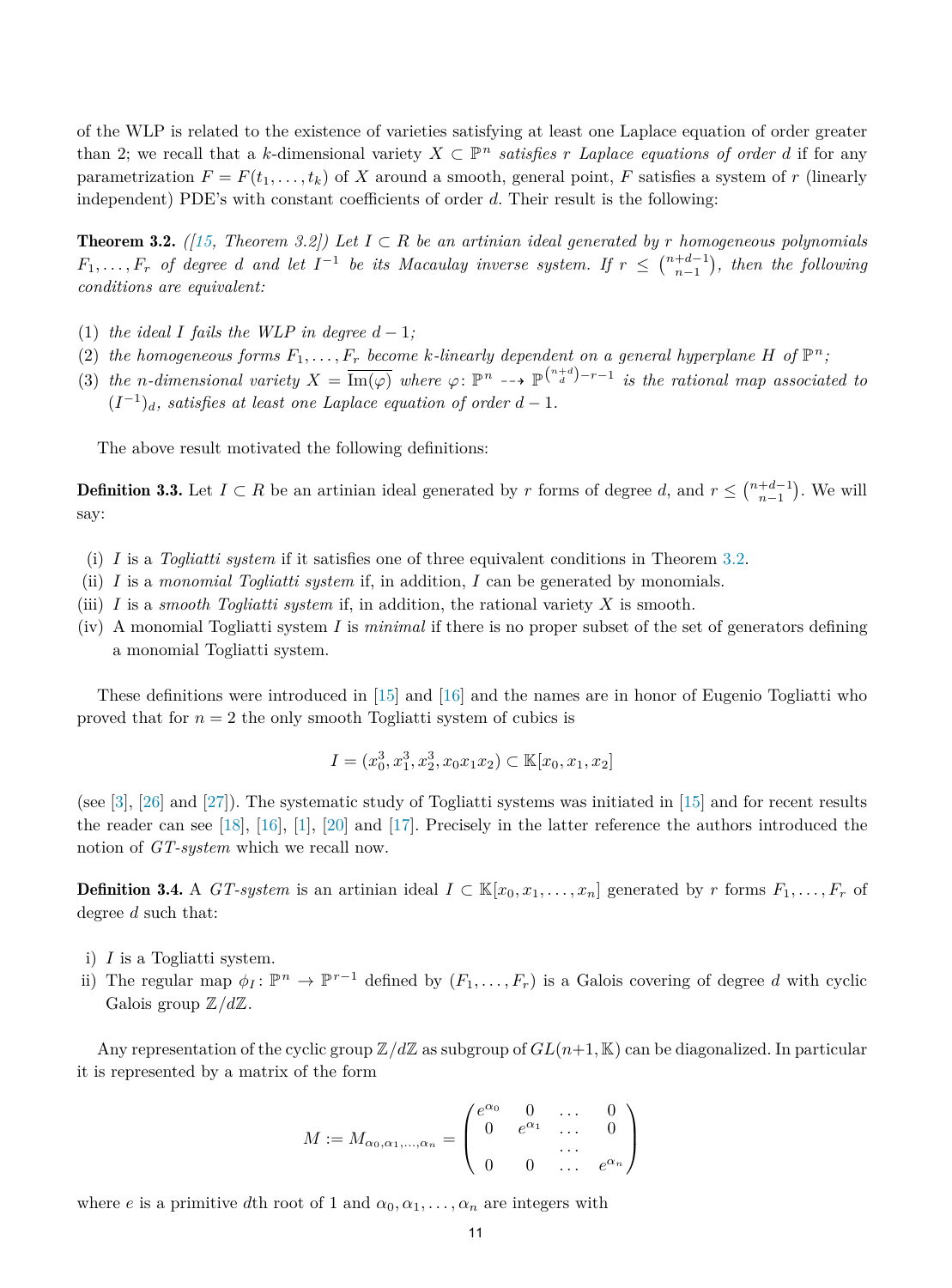of the WLP is related to the existence of varieties satisfying at least one Laplace equation of order greater than 2; we recall that a *k*-dimensional variety  $X \subset \mathbb{P}^n$  *satisfies r Laplace equations* of order *d* if for any parametrization  $F = F(t_1, \ldots, t_k)$  of *X* around a smooth, general point, *F* satisfies a system of *r* (linearly independent) PDE's with constant coefficients of order *d*. Their result is the following:

**Theorem 3.2.**  $(15, \text{ Theorem } 3.2)$  Let  $I \subset R$  be an artinian ideal generated by r homogeneous polynomials  $F_1,\ldots,F_r$  of degree d and let  $I^{-1}$  be its Macaulay inverse system. If  $r \leq \binom{n+d-1}{n-1}$ , then the following *conditions are equivalent:*

- (1) *the ideal I fails the WLP in degree*  $d-1$ ;
- (2) the homogeneous forms  $F_1, \ldots, F_r$  become k-linearly dependent on a general hyperplane H of  $\mathbb{P}^n$ ;
- (3) the n-dimensional variety  $X = \overline{\text{Im}(\varphi)}$  where  $\varphi \colon \mathbb{P}^n \dashrightarrow \mathbb{P}^{\binom{n+d}{d}-r-1}$  is the rational map associated to  $(I^{-1})_d$ *, satisfies at least one Laplace equation of order*  $d-1$ *.*

The above result motivated the following definitions:

**Definition 3.3.** Let  $I \subset R$  be an artinian ideal generated by  $r$  forms of degree  $d$ , and  $r \leq {n+d-1 \choose n-1}$ . We will say:

- (i) *I* is a *Togliatti system* if it satisfies one of three equivalent conditions in Theorem 3.2.
- (ii) *I* is a *monomial Togliatti system* if, in addition, *I* can be generated by monomials.
- (iii) *I* is a *smooth Togliatti system* if, in addition, the rational variety *X* is smooth.
- (iv) A monomial Togliatti system *I* is *minimal* if there is no proper subset of the set of generators defining a monomial Togliatti system.

These definitions were introduced in [\[15](#page-13-0)] and [\[16](#page-13-0)] and the names are in honor of Eugenio Togliatti who proved that for  $n = 2$  the only smooth Togliatti system of cubics is

$$
I = (x_0^3, x_1^3, x_2^3, x_0x_1x_2) \subset \mathbb{K}[x_0, x_1, x_2]
$$

(see [\[3](#page-13-0)], [[26\]](#page-13-0) and [[27\]](#page-13-0)). The systematic study of Togliatti systems was initiated in [[15\]](#page-13-0) and for recent results the reader can see [\[18](#page-13-0)], [\[16](#page-13-0)], [\[1](#page-13-0)], [\[20](#page-13-0)] and [\[17](#page-13-0)]. Precisely in the latter reference the authors introduced the notion of *GT-system* which we recall now.

**Definition 3.4.** A *GT-system* is an artinian ideal  $I \subset \mathbb{K}[x_0, x_1, \ldots, x_n]$  generated by *r* forms  $F_1, \ldots, F_r$  of degree *d* such that:

- i) *I* is a Togliatti system.
- ii) The regular map  $\phi_I : \mathbb{P}^n \to \mathbb{P}^{r-1}$  defined by  $(F_1, \ldots, F_r)$  is a Galois covering of degree *d* with cyclic Galois group Z*/d*Z.

Any representation of the cyclic group  $\mathbb{Z}/d\mathbb{Z}$  as subgroup of  $GL(n+1, \mathbb{K})$  can be diagonalized. In particular it is represented by a matrix of the form

$$
M := M_{\alpha_0, \alpha_1, \dots, \alpha_n} = \begin{pmatrix} e^{\alpha_0} & 0 & \dots & 0 \\ 0 & e^{\alpha_1} & \dots & 0 \\ \vdots & \vdots & \ddots & \vdots \\ 0 & 0 & \dots & e^{\alpha_n} \end{pmatrix}
$$

where *e* is a primitive *d*th root of 1 and  $\alpha_0, \alpha_1, \ldots, \alpha_n$  are integers with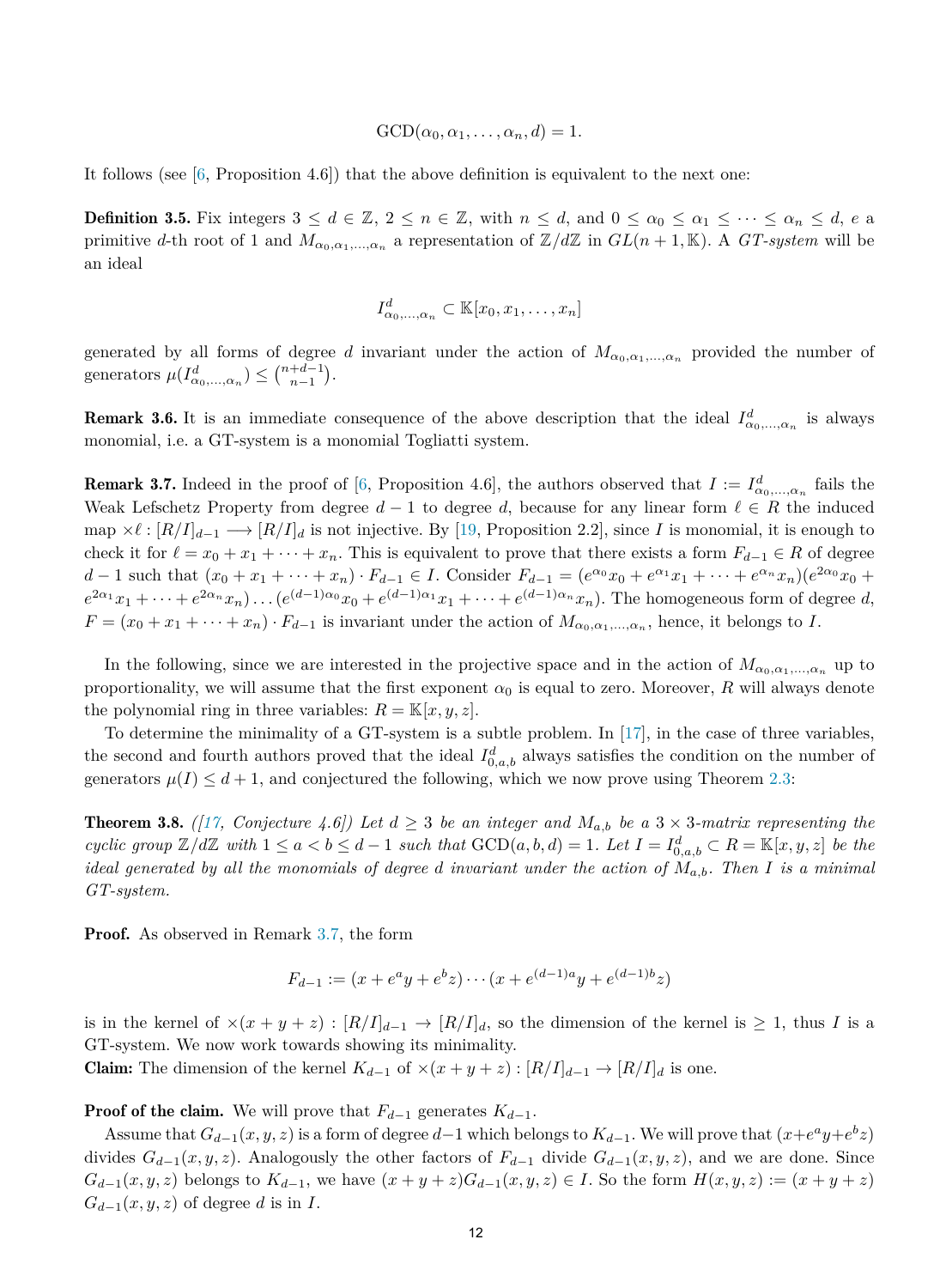$GCD(\alpha_0, \alpha_1, \ldots, \alpha_n, d) = 1.$ 

<span id="page-11-0"></span>It follows (see  $[6,$  $[6,$  Proposition 4.6) that the above definition is equivalent to the next one:

**Definition 3.5.** Fix integers  $3 \leq d \in \mathbb{Z}$ ,  $2 \leq n \in \mathbb{Z}$ , with  $n \leq d$ , and  $0 \leq \alpha_0 \leq \alpha_1 \leq \cdots \leq \alpha_n \leq d$ ,  $e$  a primitive *d*-th root of 1 and  $M_{\alpha_0,\alpha_1,\dots,\alpha_n}$  a representation of  $\mathbb{Z}/d\mathbb{Z}$  in  $GL(n+1,\mathbb{K})$ . A *GT-system* will be an ideal

$$
I_{\alpha_0,\ldots,\alpha_n}^d \subset \mathbb{K}[x_0,x_1,\ldots,x_n]
$$

generated by all forms of degree *d* invariant under the action of  $M_{\alpha_0,\alpha_1,\dots,\alpha_n}$  provided the number of generators  $\mu(I_{\alpha_0,\ldots,\alpha_n}^d) \leq {n+d-1 \choose n-1}.$ 

**Remark 3.6.** It is an immediate consequence of the above description that the ideal  $I_{\alpha_0,\dots,\alpha_n}^d$  is always monomial, i.e. a GT-system is a monomial Togliatti system.

**Remark 3.7.** Indeed in the proof of [\[6](#page-13-0), Proposition 4.6], the authors observed that  $I := I^d_{\alpha_0,\dots,\alpha_n}$  fails the Weak Lefschetz Property from degree  $d-1$  to degree  $d$ , because for any linear form  $\ell \in R$  the induced  $\text{map } \times \ell : [R/I]_{d-1} \longrightarrow [R/I]_d$  is not injective. By [\[19,](#page-13-0) Proposition 2.2], since *I* is monomial, it is enough to check it for  $\ell = x_0 + x_1 + \cdots + x_n$ . This is equivalent to prove that there exists a form  $F_{d-1} \in R$  of degree  $d-1$  such that  $(x_0 + x_1 + \cdots + x_n) \cdot F_{d-1} \in I$ . Consider  $F_{d-1} = (e^{\alpha_0}x_0 + e^{\alpha_1}x_1 + \cdots + e^{\alpha_n}x_n)(e^{2\alpha_0}x_0 +$  $e^{2\alpha_1}x_1+\cdots+e^{2\alpha_n}x_n\ldots$   $(e^{(d-1)\alpha_0}x_0+e^{(d-1)\alpha_1}x_1+\cdots+e^{(d-1)\alpha_n}x_n)$ . The homogeneous form of degree d,  $F = (x_0 + x_1 + \cdots + x_n) \cdot F_{d-1}$  is invariant under the action of  $M_{\alpha_0, \alpha_1, \dots, \alpha_n}$ , hence, it belongs to *I*.

In the following, since we are interested in the projective space and in the action of  $M_{\alpha_0,\alpha_1,\dots,\alpha_n}$  up to proportionality, we will assume that the first exponent  $\alpha_0$  is equal to zero. Moreover, *R* will always denote the polynomial ring in three variables:  $R = \mathbb{K}[x, y, z]$ .

To determine the minimality of a GT-system is a subtle problem. In [[17\]](#page-13-0), in the case of three variables, the second and fourth authors proved that the ideal  $I^d_{0,a,b}$  always satisfies the condition on the number of generators  $\mu(I) \leq d+1$ , and conjectured the following, which we now prove using Theorem [2.3](#page-3-0):

**Theorem 3.8.** ([[17](#page-13-0), Conjecture 4.6]) Let  $d \geq 3$  be an integer and  $M_{a,b}$  be a  $3 \times 3$ -matrix representing the cyclic group  $\mathbb{Z}/d\mathbb{Z}$  with  $1 \leq a < b \leq d-1$  such that  $\text{GCD}(a, b, d) = 1$ . Let  $I = I_{0,a,b}^d \subset R = \mathbb{K}[x, y, z]$  be the ideal generated by all the monomials of degree d invariant under the action of  $M_{a,b}$ . Then I is a minimal *GT-system.*

Proof. As observed in Remark 3.7, the form

$$
F_{d-1} := (x + e^a y + e^b z) \cdots (x + e^{(d-1)a} y + e^{(d-1)b} z)
$$

is in the kernel of  $\times(x+y+z)$  :  $[R/I]_{d-1} \to [R/I]_d$ , so the dimension of the kernel is  $\geq 1$ , thus *I* is a GT-system. We now work towards showing its minimality.

Claim: The dimension of the kernel  $K_{d-1}$  of  $\times(x+y+z)$ :  $[R/I]_{d-1}$  →  $[R/I]_d$  is one.

**Proof of the claim.** We will prove that  $F_{d-1}$  generates  $K_{d-1}$ .

Assume that  $G_{d-1}(x, y, z)$  is a form of degree  $d-1$  which belongs to  $K_{d-1}$ . We will prove that  $(x+e^ay+e^bz)$ divides  $G_{d-1}(x, y, z)$ . Analogously the other factors of  $F_{d-1}$  divide  $G_{d-1}(x, y, z)$ , and we are done. Since  $G_{d-1}(x,y,z)$  belongs to  $K_{d-1}$ , we have  $(x+y+z)G_{d-1}(x,y,z) \in I$ . So the form  $H(x,y,z) := (x+y+z)$  $G_{d-1}(x, y, z)$  of degree *d* is in *I*.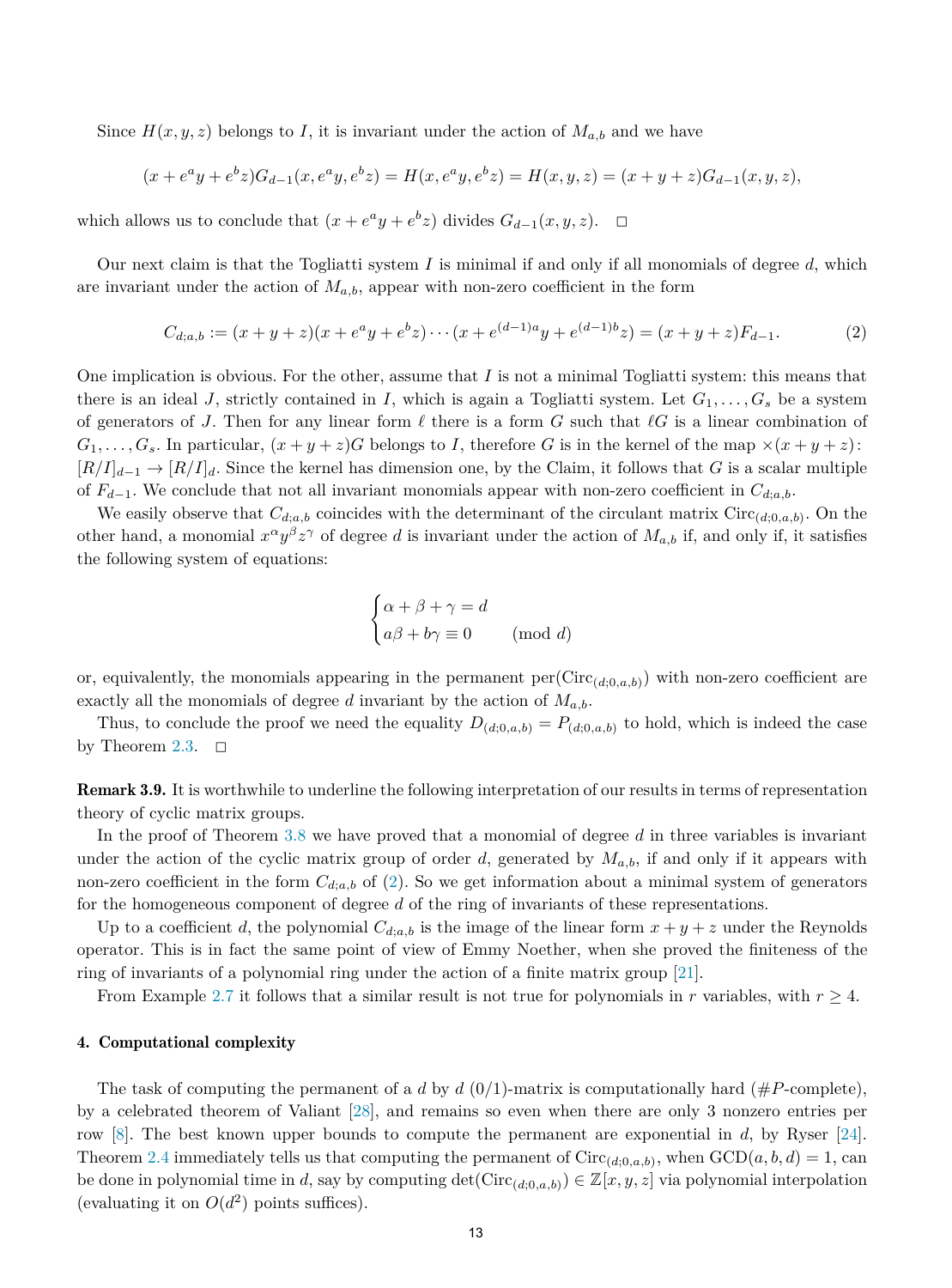<span id="page-12-0"></span>Since  $H(x, y, z)$  belongs to *I*, it is invariant under the action of  $M_{a,b}$  and we have

$$
(x + eay + ebz)Gd-1(x, eay, ebz) = H(x, eay, ebz) = H(x, y, z) = (x + y + z)Gd-1(x, y, z),
$$

which allows us to conclude that  $(x + e^a y + e^b z)$  divides  $G_{d-1}(x, y, z)$ .  $\Box$ 

Our next claim is that the Togliatti system *I* is minimal if and only if all monomials of degree *d*, which are invariant under the action of  $M_{a,b}$ , appear with non-zero coefficient in the form

$$
C_{d;a,b} := (x+y+z)(x+e^a y+e^b z)\cdots (x+e^{(d-1)a} y+e^{(d-1)b} z) = (x+y+z)F_{d-1}.
$$
 (2)

One implication is obvious. For the other, assume that *I* is not a minimal Togliatti system: this means that there is an ideal *J*, strictly contained in *I*, which is again a Togliatti system. Let  $G_1, \ldots, G_s$  be a system of generators of *J*. Then for any linear form  $\ell$  there is a form *G* such that  $\ell G$  is a linear combination of  $G_1, \ldots, G_s$ . In particular,  $(x + y + z)G$  belongs to *I*, therefore *G* is in the kernel of the map  $\times(x + y + z)$ :  $[R/I]_{d-1} \to [R/I]_d$ . Since the kernel has dimension one, by the Claim, it follows that *G* is a scalar multiple of  $F_{d-1}$ . We conclude that not all invariant monomials appear with non-zero coefficient in  $C_{d,a,b}$ .

We easily observe that  $C_{d,a,b}$  coincides with the determinant of the circulant matrix  $\text{Circ}_{(d,0,a,b)}$ . On the other hand, a monomial  $x^{\alpha}y^{\beta}z^{\gamma}$  of degree *d* is invariant under the action of  $M_{a,b}$  if, and only if, it satisfies the following system of equations:

$$
\begin{cases} \alpha + \beta + \gamma = d \\ a\beta + b\gamma \equiv 0 \qquad \text{(mod } d) \end{cases}
$$

or, equivalently, the monomials appearing in the permanent  $\text{per}(Circ_{(d;0,a,b)})$  with non-zero coefficient are exactly all the monomials of degree *d* invariant by the action of *Ma,b*.

Thus, to conclude the proof we need the equality  $D_{(d;0,a,b)} = P_{(d;0,a,b)}$  to hold, which is indeed the case by Theorem [2.3.](#page-3-0)  $\Box$ 

Remark 3.9. It is worthwhile to underline the following interpretation of our results in terms of representation theory of cyclic matrix groups.

In the proof of Theorem [3.8](#page-11-0) we have proved that a monomial of degree *d* in three variables is invariant under the action of the cyclic matrix group of order *d*, generated by  $M_{a,b}$ , if and only if it appears with non-zero coefficient in the form  $C_{d,a,b}$  of (2). So we get information about a minimal system of generators for the homogeneous component of degree *d* of the ring of invariants of these representations.

Up to a coefficient *d*, the polynomial  $C_{d,a,b}$  is the image of the linear form  $x + y + z$  under the Reynolds operator. This is in fact the same point of view of Emmy Noether, when she proved the finiteness of the ring of invariants of a polynomial ring under the action of a finite matrix group [\[21](#page-13-0)].

From Example [2.7](#page-4-0) it follows that a similar result is not true for polynomials in *r* variables, with  $r \geq 4$ .

### 4. Computational complexity

The task of computing the permanent of a *d* by *d* (0/1)-matrix is computationally hard (#*P*-complete), by a celebrated theorem of Valiant [[28\]](#page-13-0), and remains so even when there are only 3 nonzero entries per row [[8\]](#page-13-0). The best known upper bounds to compute the permanent are exponential in *d*, by Ryser [\[24\]](#page-13-0). Theorem [2.4](#page-3-0) immediately tells us that computing the permanent of  $Circ_{(d,0,a,b)}$ , when  $GCD(a, b, d) = 1$ , can be done in polynomial time in *d*, say by computing  $\det(\text{Circ}_{(d;0,a,b)}) \in \mathbb{Z}[x,y,z]$  via polynomial interpolation (evaluating it on  $O(d^2)$  points suffices).